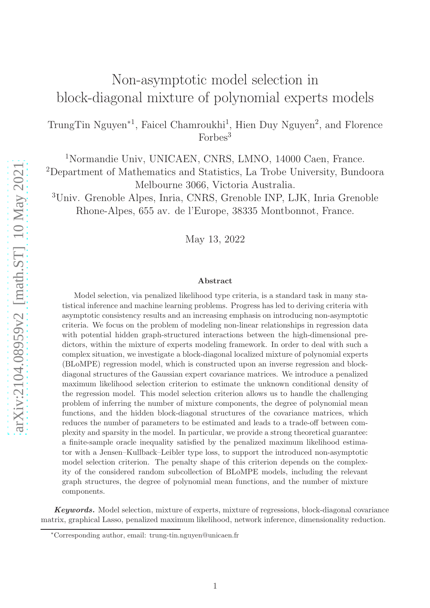# Non-asymptotic model selection in block-diagonal mixture of polynomial experts models

TrungTin Nguyen<sup>\*1</sup>, Faicel Chamroukhi<sup>1</sup>, Hien Duy Nguyen<sup>2</sup>, and Florence Forbes<sup>3</sup>

<sup>1</sup>Normandie Univ, UNICAEN, CNRS, LMNO, 14000 Caen, France. <sup>2</sup>Department of Mathematics and Statistics, La Trobe University, Bundoora Melbourne 3066, Victoria Australia.

<sup>3</sup>Univ. Grenoble Alpes, Inria, CNRS, Grenoble INP, LJK, Inria Grenoble Rhone-Alpes, 655 av. de l'Europe, 38335 Montbonnot, France.

May 13, 2022

#### Abstract

Model selection, via penalized likelihood type criteria, is a standard task in many statistical inference and machine learning problems. Progress has led to deriving criteria with asymptotic consistency results and an increasing emphasis on introducing non-asymptotic criteria. We focus on the problem of modeling non-linear relationships in regression data with potential hidden graph-structured interactions between the high-dimensional predictors, within the mixture of experts modeling framework. In order to deal with such a complex situation, we investigate a block-diagonal localized mixture of polynomial experts (BLoMPE) regression model, which is constructed upon an inverse regression and blockdiagonal structures of the Gaussian expert covariance matrices. We introduce a penalized maximum likelihood selection criterion to estimate the unknown conditional density of the regression model. This model selection criterion allows us to handle the challenging problem of inferring the number of mixture components, the degree of polynomial mean functions, and the hidden block-diagonal structures of the covariance matrices, which reduces the number of parameters to be estimated and leads to a trade-off between complexity and sparsity in the model. In particular, we provide a strong theoretical guarantee: a finite-sample oracle inequality satisfied by the penalized maximum likelihood estimator with a Jensen–Kullback–Leibler type loss, to support the introduced non-asymptotic model selection criterion. The penalty shape of this criterion depends on the complexity of the considered random subcollection of BLoMPE models, including the relevant graph structures, the degree of polynomial mean functions, and the number of mixture components.

Keywords. Model selection, mixture of experts, mixture of regressions, block-diagonal covariance matrix, graphical Lasso, penalized maximum likelihood, network inference, dimensionality reduction.

<sup>∗</sup>Corresponding author, email: trung-tin.nguyen@unicaen.fr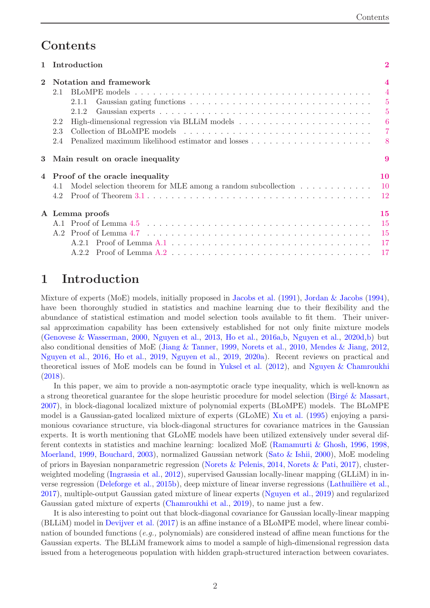## <span id="page-1-1"></span>**Contents**

| $\mathbf{1}$ | Introduction                                                                                                                                                                                                                                                |                                                                                              |
|--------------|-------------------------------------------------------------------------------------------------------------------------------------------------------------------------------------------------------------------------------------------------------------|----------------------------------------------------------------------------------------------|
| $\mathbf{2}$ | Notation and framework<br>2.1<br>2.1.1<br>2.1.2<br>2.2<br>2.3<br>2.4                                                                                                                                                                                        | $\overline{\mathbf{4}}$<br>$\overline{4}$<br>$\overline{5}$<br>$\overline{5}$<br>6<br>7<br>8 |
| $\bf{3}$     | Main result on oracle inequality                                                                                                                                                                                                                            | 9                                                                                            |
|              | Proof of the oracle inequality<br>Model selection theorem for MLE among a random subcollection $\dots \dots \dots \dots$<br>4.1<br>Proof of Theorem $3.1 \ldots \ldots \ldots \ldots \ldots \ldots \ldots \ldots \ldots \ldots \ldots \ldots \ldots$<br>4.2 | 10<br>$10\,$<br>-12                                                                          |
|              | A Lemma proofs                                                                                                                                                                                                                                              | 15<br><sup>15</sup><br>-15<br>-17                                                            |

## <span id="page-1-0"></span>1 Introduction

Mixture of experts (MoE) models, initially proposed in [Jacobs et al.](#page-22-0) [\(1991\)](#page-22-0), [Jordan & Jacobs](#page-22-1) [\(1994](#page-22-1)), have been thoroughly studied in statistics and machine learning due to their flexibility and the abundance of statistical estimation and model selection tools available to fit them. Their universal approximation capability has been extensively established for not only finite mixture models [\(Genovese & Wasserman,](#page-21-0) [2000](#page-21-0), [Nguyen et al.](#page-23-0), [2013,](#page-23-0) [Ho et al.,](#page-21-1) [2016a](#page-21-1)[,b,](#page-22-2) [Nguyen et al.](#page-23-1), [2020d](#page-23-1)[,b\)](#page-23-2) but also conditional densities of MoE [\(Jiang & Tanner,](#page-22-3) [1999](#page-22-3), [Norets et al.](#page-23-3), [2010](#page-23-3), [Mendes & Jiang,](#page-22-4) [2012](#page-22-4), [Nguyen et al.](#page-23-4), [2016](#page-23-4), [Ho et al.,](#page-22-5) [2019](#page-22-5), [Nguyen et al.](#page-23-5), [2019](#page-23-5), [2020a\)](#page-23-6). Recent reviews on practical and theoretical issues of MoE models can be found in [Yuksel et al.](#page-24-0) [\(2012](#page-24-0)), and [Nguyen & Chamroukhi](#page-23-7) [\(2018](#page-23-7)).

In this paper, we aim to provide a non-asymptotic oracle type inequality, which is well-known as a strong theoretical guarantee for the slope heuristic procedure for model selection (Birgé  $\&$  Massart, [2007](#page-21-2)), in block-diagonal localized mixture of polynomial experts (BLoMPE) models. The BLoMPE model is a Gaussian-gated localized mixture of experts (GLoME) [Xu et al.](#page-24-1) [\(1995\)](#page-24-1) enjoying a parsimonious covariance structure, via block-diagonal structures for covariance matrices in the Gaussian experts. It is worth mentioning that GLoME models have been utilized extensively under several different contexts in statistics and machine learning: localized MoE [\(Ramamurti & Ghosh,](#page-23-8) [1996,](#page-23-8) [1998](#page-24-2), [Moerland](#page-22-6), [1999,](#page-22-6) [Bouchard](#page-21-3), [2003\)](#page-21-3), normalized Gaussian network [\(Sato & Ishii](#page-24-3), [2000](#page-24-3)), MoE modeling of priors in Bayesian nonparametric regression [\(Norets & Pelenis](#page-23-9), [2014](#page-23-9), [Norets & Pati,](#page-23-10) [2017\)](#page-23-10), clusterweighted modeling [\(Ingrassia et al.](#page-22-7), [2012\)](#page-22-7), supervised Gaussian locally-linear mapping (GLLiM) in in-verse regression [\(Deleforge et al.](#page-21-4), [2015b](#page-21-4)), deep mixture of linear inverse regressions (Lathuilière et al., [2017](#page-22-8)), multiple-output Gaussian gated mixture of linear experts [\(Nguyen et al.](#page-23-5), [2019](#page-23-5)) and regularized Gaussian gated mixture of experts [\(Chamroukhi et al.](#page-21-5), [2019](#page-21-5)), to name just a few.

It is also interesting to point out that block-diagonal covariance for Gaussian locally-linear mapping (BLLiM) model in [Devijver et al.](#page-21-6) [\(2017](#page-21-6)) is an affine instance of a BLoMPE model, where linear combination of bounded functions (*e.g.,* polynomials) are considered instead of affine mean functions for the Gaussian experts. The BLLiM framework aims to model a sample of high-dimensional regression data issued from a heterogeneous population with hidden graph-structured interaction between covariates.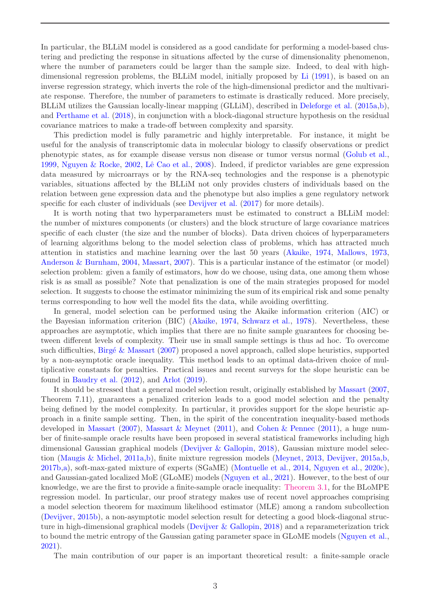<span id="page-2-0"></span>In particular, the BLLiM model is considered as a good candidate for performing a model-based clustering and predicting the response in situations affected by the curse of dimensionality phenomenon, where the number of parameters could be larger than the sample size. Indeed, to deal with highdimensional regression problems, the BLLiM model, initially proposed by [Li](#page-22-9) [\(1991](#page-22-9)), is based on an inverse regression strategy, which inverts the role of the high-dimensional predictor and the multivariate response. Therefore, the number of parameters to estimate is drastically reduced. More precisely, BLLiM utilizes the Gaussian locally-linear mapping (GLLiM), described in [Deleforge et al.](#page-21-7) [\(2015a](#page-21-7)[,b](#page-21-4)), and [Perthame et al.](#page-23-11) [\(2018\)](#page-23-11), in conjunction with a block-diagonal structure hypothesis on the residual covariance matrices to make a trade-off between complexity and sparsity.

This prediction model is fully parametric and highly interpretable. For instance, it might be useful for the analysis of transcriptomic data in molecular biology to classify observations or predict phenotypic states, as for example disease versus non disease or tumor versus normal [\(Golub et al.](#page-21-8), [1999](#page-21-8), [Nguyen & Rocke,](#page-23-12) [2002](#page-23-12), Lê Cao et al., [2008](#page-22-10)). Indeed, if predictor variables are gene expression data measured by microarrays or by the RNA-seq technologies and the response is a phenotypic variables, situations affected by the BLLiM not only provides clusters of individuals based on the relation between gene expression data and the phenotype but also implies a gene regulatory network specific for each cluster of individuals (see [Devijver et al.](#page-21-6) [\(2017](#page-21-6)) for more details).

It is worth noting that two hyperparameters must be estimated to construct a BLLiM model: the number of mixtures components (or clusters) and the block structure of large covariance matrices specific of each cluster (the size and the number of blocks). Data driven choices of hyperparameters of learning algorithms belong to the model selection class of problems, which has attracted much attention in statistics and machine learning over the last 50 years [\(Akaike](#page-20-0), [1974](#page-20-0), [Mallows](#page-22-11), [1973](#page-22-11), [Anderson & Burnham,](#page-20-1) [2004](#page-20-1), [Massart,](#page-22-12) [2007](#page-22-12)). This is a particular instance of the estimator (or model) selection problem: given a family of estimators, how do we choose, using data, one among them whose risk is as small as possible? Note that penalization is one of the main strategies proposed for model selection. It suggests to choose the estimator minimizing the sum of its empirical risk and some penalty terms corresponding to how well the model fits the data, while avoiding overfitting.

In general, model selection can be performed using the Akaike information criterion (AIC) or the Bayesian information criterion (BIC) [\(Akaike,](#page-20-0) [1974](#page-20-0), [Schwarz et al.,](#page-24-4) [1978](#page-24-4)). Nevertheless, these approaches are asymptotic, which implies that there are no finite sample guarantees for choosing between different levels of complexity. Their use in small sample settings is thus ad hoc. To overcome such difficulties, Birgé & Massart [\(2007](#page-21-2)) proposed a novel approach, called slope heuristics, supported by a non-asymptotic oracle inequality. This method leads to an optimal data-driven choice of multiplicative constants for penalties. Practical issues and recent surveys for the slope heuristic can be found in [Baudry et al.](#page-21-9) [\(2012\)](#page-21-9), and [Arlot](#page-20-2) [\(2019\)](#page-20-2).

It should be stressed that a general model selection result, originally established by [Massart](#page-22-12) [\(2007](#page-22-12), Theorem 7.11), guarantees a penalized criterion leads to a good model selection and the penalty being defined by the model complexity. In particular, it provides support for the slope heuristic approach in a finite sample setting. Then, in the spirit of the concentration inequality-based methods developed in [Massart](#page-22-12) [\(2007\)](#page-22-12), [Massart & Meynet](#page-22-13) [\(2011](#page-22-13)), and [Cohen & Pennec](#page-21-10) [\(2011\)](#page-21-10), a huge number of finite-sample oracle results have been proposed in several statistical frameworks including high dimensional Gaussian graphical models [\(Devijver & Gallopin](#page-21-11), [2018](#page-21-11)), Gaussian mixture model selection [\(Maugis & Michel](#page-22-14), [2011a](#page-22-14)[,b](#page-22-15)), finite mixture regression models [\(Meynet,](#page-22-16) [2013](#page-22-16), [Devijver](#page-21-12), [2015a](#page-21-12)[,b,](#page-21-13) [2017b](#page-21-14)[,a](#page-21-15)), soft-max-gated mixture of experts (SGaME) [\(Montuelle et al.](#page-23-13), [2014](#page-23-13), [Nguyen et al.](#page-23-14), [2020c](#page-23-14)), and Gaussian-gated localized MoE (GLoME) models [\(Nguyen et al.](#page-23-15), [2021](#page-23-15)). However, to the best of our knowledge, we are the first to provide a finite-sample oracle inequality: [Theorem 3.1,](#page-8-1) for the BLoMPE regression model. In particular, our proof strategy makes use of recent novel approaches comprising a model selection theorem for maximum likelihood estimator (MLE) among a random subcollection [\(Devijver,](#page-21-13) [2015b](#page-21-13)), a non-asymptotic model selection result for detecting a good block-diagonal structure in high-dimensional graphical models [\(Devijver & Gallopin](#page-21-11), [2018](#page-21-11)) and a reparameterization trick to bound the metric entropy of the Gaussian gating parameter space in GLoME models [\(Nguyen et al.](#page-23-15), [2021](#page-23-15)).

The main contribution of our paper is an important theoretical result: a finite-sample oracle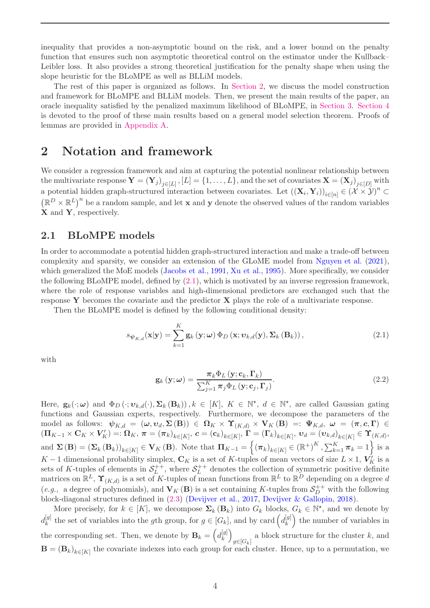<span id="page-3-3"></span>inequality that provides a non-asymptotic bound on the risk, and a lower bound on the penalty function that ensures such non asymptotic theoretical control on the estimator under the Kullback– Leibler loss. It also provides a strong theoretical justification for the penalty shape when using the slope heuristic for the BLoMPE as well as BLLiM models.

The rest of this paper is organized as follows. In [Section 2,](#page-3-0) we discuss the model construction and framework for BLoMPE and BLLiM models. Then, we present the main results of the paper, an oracle inequality satisfied by the penalized maximum likelihood of BLoMPE, in [Section 3.](#page-8-0) [Section 4](#page-9-0) is devoted to the proof of these main results based on a general model selection theorem. Proofs of lemmas are provided in [Appendix A.](#page-14-0)

### <span id="page-3-0"></span>2 Notation and framework

We consider a regression framework and aim at capturing the potential nonlinear relationship between the multivariate response  $\mathbf{Y} = (\mathbf{Y}_j)_{j \in [L]}, [L] = \{1, \ldots, L\}$ , and the set of covariates  $\mathbf{X} = (\mathbf{X}_j)_{j \in [D]}$  with a potential hidden graph-structured interaction between covariates. Let  $((\mathbf{X}_i, \mathbf{Y}_i))_{i \in [n]} \in (\mathcal{X} \times \mathcal{Y})^n \subset$  $(\mathbb{R}^D \times \mathbb{R}^L)^n$  be a random sample, and let **x** and **y** denote the observed values of the random variables X and Y, respectively.

### <span id="page-3-1"></span>2.1 BLoMPE models

In order to accommodate a potential hidden graph-structured interaction and make a trade-off between complexity and sparsity, we consider an extension of the GLoME model from [Nguyen et al.](#page-23-15) [\(2021](#page-23-15)), which generalized the MoE models [\(Jacobs et al.,](#page-22-0) [1991](#page-22-0), [Xu et al.](#page-24-1), [1995\)](#page-24-1). More specifically, we consider the following BLoMPE model, defined by [\(2.1\)](#page-3-2), which is motivated by an inverse regression framework, where the role of response variables and high-dimensional predictors are exchanged such that the response Y becomes the covariate and the predictor  $X$  plays the role of a multivariate response.

Then the BLoMPE model is defined by the following conditional density:

$$
s_{\psi_{K,d}}(\mathbf{x}|\mathbf{y}) = \sum_{k=1}^{K} \mathbf{g}_k(\mathbf{y}; \omega) \Phi_D(\mathbf{x}; \mathbf{v}_{k,d}(\mathbf{y}), \Sigma_k(\mathbf{B}_k)),
$$
\n(2.1)

with

<span id="page-3-2"></span>
$$
\mathbf{g}_{k}(\mathbf{y};\omega) = \frac{\boldsymbol{\pi}_{k} \boldsymbol{\Phi}_{L}(\mathbf{y};\mathbf{c}_{k},\boldsymbol{\Gamma}_{k})}{\sum_{j=1}^{K} \boldsymbol{\pi}_{j} \boldsymbol{\Phi}_{L}(\mathbf{y};\mathbf{c}_{j},\boldsymbol{\Gamma}_{j})}.
$$
(2.2)

Here,  $\mathbf{g}_k(\cdot;\boldsymbol{\omega})$  and  $\Phi_D(\cdot;\boldsymbol{v}_{k,d}(\cdot),\boldsymbol{\Sigma}_k(\mathbf{B}_k))$ ,  $k \in [K]$ ,  $K \in \mathbb{N}^*$ ,  $d \in \mathbb{N}^*$ , are called Gaussian gating functions and Gaussian experts, respectively. Furthermore, we decompose the parameters of the model as follows:  $\psi_{K,d} = (\omega, v_d, \Sigma(\mathbf{B})) \in \Omega_K \times \Upsilon_{(K,d)} \times V_K(\mathbf{B}) =: \Psi_{K,d}, \ \omega = (\pi, c, \Gamma) \in$  $(\bm{\Pi}_{K-1}\times\mathbf{C}_K\times\bm{V}'_K)=:\bm{\Omega}_K,\ \bm{\pi}=(\bm{\pi}_k)_{k\in[K]},\ \bm{c}=(\mathbf{c}_k)_{k\in[K]},\ \mathbf{\Gamma}=(\bm{\Gamma}_k)_{k\in[K]},\ \bm{v}_d=(\bm{v}_{k,d})_{k\in[K]}\in\bm{\Upsilon}_{(K,d)},$ and  $\Sigma(\mathbf{B}) = (\Sigma_k(\mathbf{B}_k))_{k \in [K]} \in \mathbf{V}_K(\mathbf{B})$ . Note that  $\Pi_{K-1} = \{ (\pi_k)_{k \in [K]} \in (\mathbb{R}^+)^K, \sum_{k=1}^K \pi_k = 1 \}$  is a K – 1 dimensional probability simplex,  $\mathbf{C}_K$  is a set of K-tuples of mean vectors of size  $L \times 1$ ,  $\mathbf{V}'_K$  is a sets of K-tuples of elements in  $S_L^{++}$  $L^{++}$ , where  $S^{++}_L$  $L^{++}$  denotes the collection of symmetric positive definite matrices on  $\mathbb{R}^L$ ,  $\Upsilon_{(K,d)}$  is a set of K-tuples of mean functions from  $\mathbb{R}^L$  to  $\mathbb{R}^D$  depending on a degree d (*e.g.*, a degree of polynomials), and  $V_K(B)$  is a set containing K-tuples from  $S_D^{++}$  with the following block-diagonal structures defined in [\(2.3\)](#page-4-2) [\(Devijver et al.](#page-21-6), [2017](#page-21-6), [Devijver & Gallopin](#page-21-11), [2018](#page-21-11)).

More precisely, for  $k \in [K]$ , we decompose  $\Sigma_k(\mathbf{B}_k)$  into  $G_k$  blocks,  $G_k \in \mathbb{N}^*$ , and we denote by  $d_k^{[g]}$  $\mathbf{F}_k^{[g]}$  the set of variables into the gth group, for  $g \in [G_k]$ , and by card  $\left( d_k^{[g]} \right)$ k ) the number of variables in the corresponding set. Then, we denote by  $\mathbf{B}_k = \left( d_k^{[g]} \right)$ k  $\setminus$  $g\in[G_k]$ a block structure for the cluster k, and  $\mathbf{B} = (\mathbf{B}_k)_{k \in [K]}$  the covariate indexes into each group for each cluster. Hence, up to a permutation, we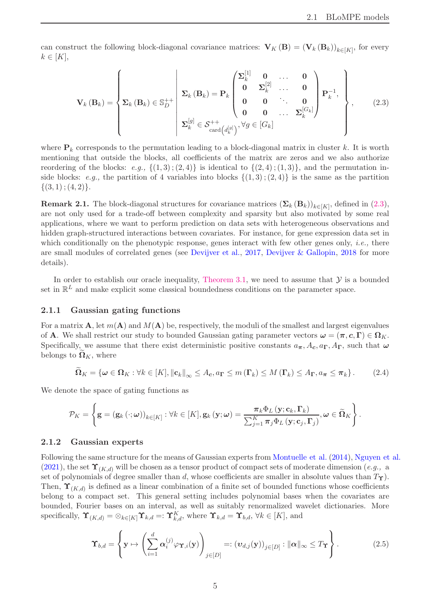<span id="page-4-3"></span>can construct the following block-diagonal covariance matrices:  $\mathbf{V}_K(\mathbf{B}) = (\mathbf{V}_k(\mathbf{B}_k))_{k \in [K]}$ , for every  $k \in [K],$ 

<span id="page-4-2"></span>
$$
\mathbf{V}_{k}(\mathbf{B}_{k}) = \left\{ \mathbf{\Sigma}_{k}(\mathbf{B}_{k}) \in \mathbb{S}_{D}^{++} \middle| \begin{array}{ccc} \Sigma_{k}^{[1]} & \mathbf{0} & \dots & \mathbf{0} \\ \mathbf{0} & \Sigma_{k}^{[2]} & \dots & \mathbf{0} \\ \mathbf{0} & \mathbf{0} & \ddots & \mathbf{0} \\ \mathbf{0} & \mathbf{0} & \dots & \Sigma_{k}^{[G_{k}]} \end{array} \right\}, \quad (2.3)
$$
\n
$$
\Sigma_{k}^{[g]} \in \mathcal{S}_{\text{card}\left(d_{k}^{[g]}\right)}, \forall g \in [G_{k}]
$$

where  $\mathbf{P}_k$  corresponds to the permutation leading to a block-diagonal matrix in cluster k. It is worth mentioning that outside the blocks, all coefficients of the matrix are zeros and we also authorize reordering of the blocks: *e.g.*,  $\{(1,3); (2,4)\}$  is identical to  $\{(2,4); (1,3)\}$ , and the permutation inside blocks: *e.g.*, the partition of 4 variables into blocks  $\{(1,3)$ ;  $(2,4)\}$  is the same as the partition  $\{(3,1)$ ;  $(4,2)\}.$ 

**Remark 2.1.** The block-diagonal structures for covariance matrices  $(\mathbf{\Sigma}_k (\mathbf{B}_k))_{k \in [K]}$ , defined in [\(2.3\)](#page-4-2), are not only used for a trade-off between complexity and sparsity but also motivated by some real applications, where we want to perform prediction on data sets with heterogeneous observations and hidden graph-structured interactions between covariates. For instance, for gene expression data set in which conditionally on the phenotypic response, genes interact with few other genes only, *i.e.,* there are small modules of correlated genes (see [Devijver et al.](#page-21-6), [2017](#page-21-6), [Devijver & Gallopin](#page-21-11), [2018](#page-21-11) for more details).

In order to establish our oracle inequality, [Theorem 3.1,](#page-8-1) we need to assume that  $\mathcal Y$  is a bounded set in  $\mathbb{R}^L$  and make explicit some classical boundedness conditions on the parameter space.

#### <span id="page-4-0"></span>2.1.1 Gaussian gating functions

For a matrix **A**, let  $m(A)$  and  $M(A)$  be, respectively, the moduli of the smallest and largest eigenvalues of **A**. We shall restrict our study to bounded Gaussian gating parameter vectors  $\boldsymbol{\omega} = (\boldsymbol{\pi}, \boldsymbol{c}, \boldsymbol{\Gamma}) \in \Omega_K$ . Specifically, we assume that there exist deterministic positive constants  $a_{\pi}$ ,  $A_c$ ,  $a_{\Gamma}$ ,  $A_{\Gamma}$ , such that  $\omega$ belongs to  $\Omega_K$ , where

$$
\widetilde{\Omega}_K = \{ \boldsymbol{\omega} \in \Omega_K : \forall k \in [K], \|\mathbf{c}_k\|_{\infty} \leq A_{\mathbf{c}}, a_{\mathbf{\Gamma}} \leq m(\mathbf{\Gamma}_k) \leq M(\mathbf{\Gamma}_k) \leq A_{\mathbf{\Gamma}}, a_{\boldsymbol{\pi}} \leq \boldsymbol{\pi}_k \}.
$$
 (2.4)

We denote the space of gating functions as

$$
\mathcal{P}_K = \left\{ \mathbf{g} = (\mathbf{g}_k(\cdot;\boldsymbol{\omega}))_{k \in [K]} : \forall k \in [K], \mathbf{g}_k(\mathbf{y};\boldsymbol{\omega}) = \frac{\pi_k \Phi_L(\mathbf{y}; \mathbf{c}_k, \boldsymbol{\Gamma}_k)}{\sum_{j=1}^K \pi_j \Phi_L(\mathbf{y}; \mathbf{c}_j, \boldsymbol{\Gamma}_j)}, \boldsymbol{\omega} \in \widetilde{\Omega}_K \right\}.
$$

#### <span id="page-4-1"></span>2.1.2 Gaussian experts

Following the same structure for the means of Gaussian experts from [Montuelle et al.](#page-23-13) [\(2014](#page-23-13)), [Nguyen et al.](#page-23-15) [\(2021](#page-23-15)), the set  $\Upsilon_{(K,d)}$  will be chosen as a tensor product of compact sets of moderate dimension (*e.g.*, a set of polynomials of degree smaller than d, whose coefficients are smaller in absolute values than  $T_{\Upsilon}$ ). Then,  $\Upsilon_{(K,d)}$  is defined as a linear combination of a finite set of bounded functions whose coefficients belong to a compact set. This general setting includes polynomial bases when the covariates are bounded, Fourier bases on an interval, as well as suitably renormalized wavelet dictionaries. More specifically,  $\Upsilon_{(K,d)} = \otimes_{k \in [K]} \Upsilon_{k,d} =: \Upsilon_{k,d}^K$ , where  $\Upsilon_{k,d} = \Upsilon_{b,d}$ ,  $\forall k \in [K]$ , and

$$
\Upsilon_{b,d} = \left\{ \mathbf{y} \mapsto \left( \sum_{i=1}^d \alpha_i^{(j)} \varphi_{\Upsilon,i}(\mathbf{y}) \right)_{j \in [D]} =: \left( v_{d,j}(\mathbf{y}) \right)_{j \in [D]} : ||\alpha||_{\infty} \leq T_{\Upsilon} \right\}.
$$
\n(2.5)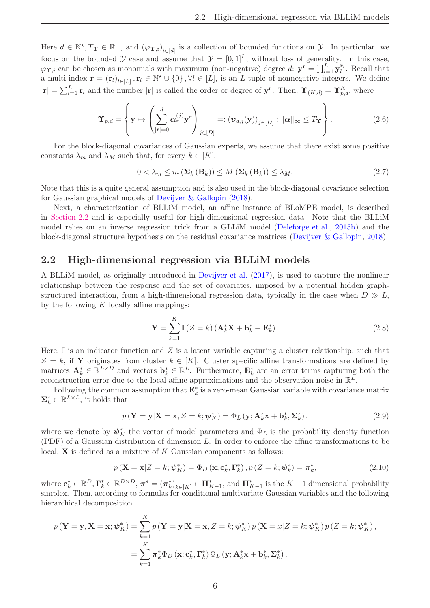<span id="page-5-1"></span>Here  $d \in \mathbb{N}^*, T_{\Upsilon} \in \mathbb{R}^+$ , and  $(\varphi_{\Upsilon,i})_{i \in [d]}$  is a collection of bounded functions on  $\mathcal{Y}$ . In particular, we focus on the bounded Y case and assume that  $\mathcal{Y} = [0, 1]^L$ , without loss of generality. In this case,  $\varphi \Upsilon, i$  can be chosen as monomials with maximum (non-negative) degree d:  $\mathbf{y}^{\mathbf{r}} = \prod_{l=1}^{L} \mathbf{y}_l^{\mathbf{r}_l}$ . Recall that a multi-index  $\mathbf{r} = (\mathbf{r}_l)_{l \in [L]}, \mathbf{r}_l \in \mathbb{N}^* \cup \{0\}, \forall l \in [L]$ , is an *L*-tuple of nonnegative integers. We define  $|\mathbf{r}| = \sum_{l=1}^{L} \mathbf{r}_l$  and the number  $|\mathbf{r}|$  is called the order or degree of  $\mathbf{y}^{\mathbf{r}}$ . Then,  $\Upsilon_{(K,d)} = \Upsilon_{p,d}^K$ , where

$$
\Upsilon_{p,d} = \left\{ \mathbf{y} \mapsto \left( \sum_{|\mathbf{r}|=0}^d \alpha_{\mathbf{r}}^{(j)} \mathbf{y}^{\mathbf{r}} \right)_{j \in [D]} =: (\mathbf{v}_{d,j}(\mathbf{y}))_{j \in [D]} : ||\alpha||_{\infty} \leq T_{\Upsilon} \right\}.
$$
 (2.6)

For the block-diagonal covariances of Gaussian experts, we assume that there exist some positive constants  $\lambda_m$  and  $\lambda_M$  such that, for every  $k \in [K]$ ,

$$
0 < \lambda_m \le m \left( \Sigma_k \left( \mathbf{B}_k \right) \right) \le M \left( \Sigma_k \left( \mathbf{B}_k \right) \right) \le \lambda_M. \tag{2.7}
$$

Note that this is a quite general assumption and is also used in the block-diagonal covariance selection for Gaussian graphical models of [Devijver & Gallopin](#page-21-11) [\(2018](#page-21-11)).

Next, a characterization of BLLiM model, an affine instance of BLoMPE model, is described in [Section 2.2](#page-5-0) and is especially useful for high-dimensional regression data. Note that the BLLiM model relies on an inverse regression trick from a GLLiM model [\(Deleforge et al.](#page-21-4), [2015b\)](#page-21-4) and the block-diagonal structure hypothesis on the residual covariance matrices [\(Devijver & Gallopin](#page-21-11), [2018\)](#page-21-11).

#### <span id="page-5-0"></span>2.2 High-dimensional regression via BLLiM models

A BLLiM model, as originally introduced in [Devijver et al.](#page-21-6) [\(2017](#page-21-6)), is used to capture the nonlinear relationship between the response and the set of covariates, imposed by a potential hidden graphstructured interaction, from a high-dimensional regression data, typically in the case when  $D \gg L$ , by the following  $K$  locally affine mappings:

$$
\mathbf{Y} = \sum_{k=1}^{K} \mathbb{I}\left(Z = k\right) \left(\mathbf{A}_{k}^{*} \mathbf{X} + \mathbf{b}_{k}^{*} + \mathbf{E}_{k}^{*}\right). \tag{2.8}
$$

Here,  $\mathbb I$  is an indicator function and Z is a latent variable capturing a cluster relationship, such that  $Z = k$ , if Y originates from cluster  $k \in [K]$ . Cluster specific affine transformations are defined by matrices  $\mathbf{A}_k^* \in \mathbb{R}^{L \times D}$  and vectors  $\mathbf{b}_k^* \in \mathbb{R}^L$ . Furthermore,  $\mathbf{E}_k^*$  are an error terms capturing both the reconstruction error due to the local affine approximations and the observation noise in  $\mathbb{R}^L$ .

Following the common assumption that  $\mathbf{E}_k^*$  is a zero-mean Gaussian variable with covariance matrix  $\mathbf{\Sigma}_{k}^{*} \in \mathbb{R}^{L \times L}$ , it holds that

$$
p\left(\mathbf{Y}=\mathbf{y}|\mathbf{X}=\mathbf{x}, Z=k; \boldsymbol{\psi}_K^*\right) = \Phi_L\left(\mathbf{y}; \mathbf{A}_k^*\mathbf{x}+\mathbf{b}_k^*, \boldsymbol{\Sigma}_k^*\right),\tag{2.9}
$$

where we denote by  $\psi_K^*$  the vector of model parameters and  $\Phi_L$  is the probability density function (PDF) of a Gaussian distribution of dimension  $L$ . In order to enforce the affine transformations to be local,  $X$  is defined as a mixture of  $K$  Gaussian components as follows:

$$
p\left(\mathbf{X} = \mathbf{x}|Z = k; \psi_K^*\right) = \Phi_D\left(\mathbf{x}; \mathbf{c}_k^*, \mathbf{\Gamma}_k^*\right), p\left(Z = k; \psi_k^*\right) = \pi_k^*,\tag{2.10}
$$

where  $\mathbf{c}_k^* \in \mathbb{R}^D$ ,  $\mathbf{\Gamma}_k^* \in \mathbb{R}^{D \times D}$ ,  $\boldsymbol{\pi}^* = (\boldsymbol{\pi}_k^*)_{k \in [K]} \in \boldsymbol{\Pi}_{K-1}^*$ , and  $\boldsymbol{\Pi}_{K-1}^*$  is the  $K-1$  dimensional probability simplex. Then, according to formulas for conditional multivariate Gaussian variables and the following hierarchical decomposition

$$
p(\mathbf{Y} = \mathbf{y}, \mathbf{X} = \mathbf{x}; \boldsymbol{\psi}_{K}^{*}) = \sum_{k=1}^{K} p(\mathbf{Y} = \mathbf{y} | \mathbf{X} = \mathbf{x}, Z = k; \boldsymbol{\psi}_{K}^{*}) p(\mathbf{X} = x | Z = k; \boldsymbol{\psi}_{K}^{*}) p(Z = k; \boldsymbol{\psi}_{K}^{*}),
$$
  

$$
= \sum_{k=1}^{K} \pi_{k}^{*} \Phi_{D}(\mathbf{x}; \mathbf{c}_{k}^{*}, \boldsymbol{\Gamma}_{k}^{*}) \Phi_{L}(\mathbf{y}; \mathbf{A}_{k}^{*} \mathbf{x} + \mathbf{b}_{k}^{*}, \boldsymbol{\Sigma}_{k}^{*}),
$$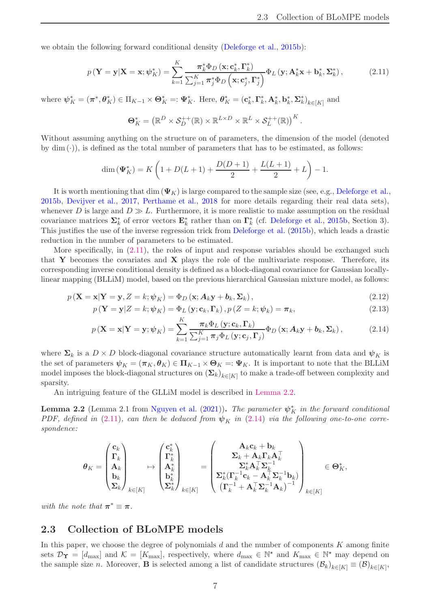<span id="page-6-4"></span>we obtain the following forward conditional density [\(Deleforge et al.](#page-21-4), [2015b\)](#page-21-4):

$$
p\left(\mathbf{Y}=\mathbf{y}|\mathbf{X}=\mathbf{x};\psi_K^*\right) = \sum_{k=1}^K \frac{\pi_k^* \Phi_D\left(\mathbf{x};\mathbf{c}_k^*,\boldsymbol{\Gamma}_k^*\right)}{\sum_{j=1}^K \pi_j^* \Phi_D\left(\mathbf{x};\mathbf{c}_j^*,\boldsymbol{\Gamma}_j^*\right)} \Phi_L\left(\mathbf{y};\mathbf{A}_k^*\mathbf{x}+\mathbf{b}_k^*,\boldsymbol{\Sigma}_k^*\right),\tag{2.11}
$$

where  $\boldsymbol{\psi}_K^* = (\boldsymbol{\pi}^*, \boldsymbol{\theta}_K^*) \in \Pi_{K-1} \times \boldsymbol{\Theta}_K^* =: \boldsymbol{\Psi}_K^*$ . Here,  $\boldsymbol{\theta}_K^* = (\mathbf{c}_k^*, \boldsymbol{\Gamma}_k^*, \mathbf{A}_k^*, \mathbf{b}_k^*, \boldsymbol{\Sigma}_k^*)_{k \in [K]}$  and

<span id="page-6-1"></span>
$$
\Theta_K^* = \left( \mathbb{R}^D \times \mathcal{S}_D^{++}(\mathbb{R}) \times \mathbb{R}^{L \times D} \times \mathbb{R}^L \times \mathcal{S}_L^{++}(\mathbb{R}) \right)^K.
$$

Without assuming anything on the structure on of parameters, the dimension of the model (denoted by  $\dim (\cdot)$ , is defined as the total number of parameters that has to be estimated, as follows:

$$
\dim(\Psi_K^*) = K\left(1 + D(L+1) + \frac{D(D+1)}{2} + \frac{L(L+1)}{2} + L\right) - 1.
$$

It is worth mentioning that dim  $(\Psi_K)$  is large compared to the sample size (see, e.g., [Deleforge et al.,](#page-21-4) [2015b](#page-21-4), [Devijver et al.](#page-21-6), [2017,](#page-21-6) [Perthame et al.](#page-23-11), [2018](#page-23-11) for more details regarding their real data sets), whenever D is large and  $D \gg L$ . Furthermore, it is more realistic to make assumption on the residual covariance matrices  $\Sigma_k^*$  of error vectors  $\mathbf{E}_k^*$  rather than on  $\Gamma_k^*$  (cf. [Deleforge et al.](#page-21-4), [2015b,](#page-21-4) Section 3). This justifies the use of the inverse regression trick from [Deleforge et al.](#page-21-4) [\(2015b\)](#page-21-4), which leads a drastic reduction in the number of parameters to be estimated.

More specifically, in [\(2.11\)](#page-6-1), the roles of input and response variables should be exchanged such that Y becomes the covariates and X plays the role of the multivariate response. Therefore, its corresponding inverse conditional density is defined as a block-diagonal covariance for Gaussian locallylinear mapping (BLLiM) model, based on the previous hierarchical Gaussian mixture model, as follows:

$$
p\left(\mathbf{X}=\mathbf{x}|\mathbf{Y}=\mathbf{y}, Z=k; \boldsymbol{\psi}_K\right) = \Phi_D\left(\mathbf{x}; A_k \mathbf{y} + \boldsymbol{b}_k, \boldsymbol{\Sigma}_k\right),\tag{2.12}
$$

$$
p\left(\mathbf{Y}=\mathbf{y}|Z=k;\boldsymbol{\psi}_K\right)=\Phi_L\left(\mathbf{y};\mathbf{c}_k,\boldsymbol{\Gamma}_k\right),p\left(Z=k;\boldsymbol{\psi}_k\right)=\boldsymbol{\pi}_k,\tag{2.13}
$$

<span id="page-6-3"></span>
$$
p\left(\mathbf{X}=\mathbf{x}|\mathbf{Y}=\mathbf{y};\boldsymbol{\psi}_K\right) = \sum_{k=1}^N \frac{\pi_k \Phi_L\left(\mathbf{y};\mathbf{c}_k,\boldsymbol{\Gamma}_k\right)}{\sum_{j=1}^K \pi_j \Phi_L\left(\mathbf{y};\mathbf{c}_j,\boldsymbol{\Gamma}_j\right)} \Phi_D\left(\mathbf{x};\mathbf{A}_k\mathbf{y}+\mathbf{b}_k,\boldsymbol{\Sigma}_k\right),\tag{2.14}
$$

where  $\Sigma_k$  is a  $D \times D$  block-diagonal covariance structure automatically learnt from data and  $\psi_K$  is the set of parameters  $\psi_K = (\pi_K, \theta_K) \in \Pi_{K-1} \times \Theta_K =: \Psi_K$ . It is important to note that the BLLiM model imposes the block-diagonal structures on  $(\mathbf{\Sigma}_k)_{k \in [K]}$  to make a trade-off between complexity and sparsity.

<span id="page-6-2"></span>An intriguing feature of the GLLiM model is described in [Lemma 2.2.](#page-6-2)

**Lemma 2.2** (Lemma 2.1 from [Nguyen et al.](#page-23-15) [\(2021](#page-23-15))). *The parameter*  $\psi_K^*$  *in the forward conditional PDF, defined in* [\(2.11\)](#page-6-1), can then be deduced from  $\psi_K$  in [\(2.14\)](#page-6-3) via the following one-to-one corre*spondence:*

$$
\theta_K = \begin{pmatrix} \mathbf{c}_k \\ \mathbf{\Gamma}_k \\ \mathbf{A}_k \\ \mathbf{b}_k \\ \mathbf{\Sigma}_k \end{pmatrix}_{k \in [K]} \mapsto \begin{pmatrix} \mathbf{c}_k^* \\ \mathbf{\Gamma}_k^* \\ \mathbf{A}_k^* \\ \mathbf{b}_k^* \\ \mathbf{\Sigma}_k^* \end{pmatrix}_{k \in [K]} = \begin{pmatrix} \mathbf{A}_k \mathbf{c}_k + \mathbf{b}_k \\ \mathbf{\Sigma}_k + \mathbf{A}_k \mathbf{\Gamma}_k \mathbf{A}_k^\top \\ \mathbf{\Sigma}_k^* \mathbf{A}_k^\top \mathbf{\Sigma}_k^{-1} \\ \mathbf{\Sigma}_k^* (\mathbf{\Gamma}_k^{-1} \mathbf{c}_k - \mathbf{A}_k^\top \mathbf{\Sigma}_k^{-1} \mathbf{b}_k) \\ (\mathbf{\Gamma}_k^{-1} + \mathbf{A}_k^\top \mathbf{\Sigma}_k^{-1} \mathbf{A}_k)^{-1} \end{pmatrix}_{k \in [K]} \in \Theta_K^*,
$$

<span id="page-6-0"></span>with the note that  $\pi^* \equiv \pi$ .

### 2.3 Collection of BLoMPE models

In this paper, we choose the degree of polynomials  $d$  and the number of components  $K$  among finite sets  $\mathcal{D}_{\Upsilon} = [d_{\text{max}}]$  and  $\mathcal{K} = [K_{\text{max}}]$ , respectively, where  $d_{\text{max}} \in \mathbb{N}^*$  and  $K_{\text{max}} \in \mathbb{N}^*$  may depend on the sample size n. Moreover, **B** is selected among a list of candidate structures  $(\mathcal{B}_k)_{k \in [K]} \equiv (\mathcal{B})_{k \in [K]}$ ,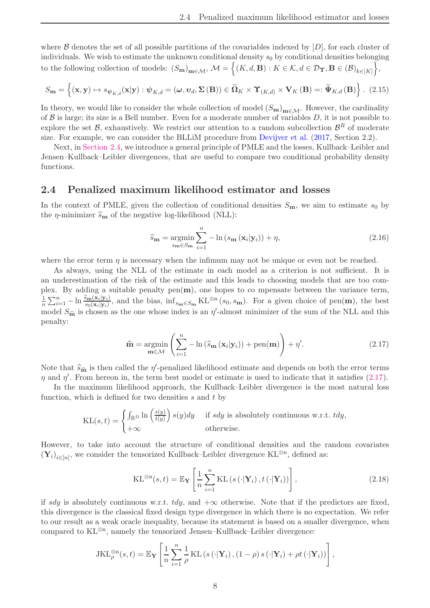<span id="page-7-4"></span>where  $\beta$  denotes the set of all possible partitions of the covariables indexed by  $[D]$ , for each cluster of individuals. We wish to estimate the unknown conditional density  $s_0$  by conditional densities belonging to the following collection of models:  $(S_{\mathbf{m}})_{\mathbf{m}\in\mathcal{M}},\ \mathcal{M}=\Big\{(K,d,\mathbf{B}): K\in\mathcal{K}, d\in\mathcal{D}_{\Upsilon}, \mathbf{B}\in(\mathcal{B})_{k\in[K]}\Big\},\$ 

$$
S_{\mathbf{m}} = \left\{ (\mathbf{x}, \mathbf{y}) \mapsto s_{\psi_{K,d}}(\mathbf{x}|\mathbf{y}) : \psi_{K,d} = (\omega, \mathbf{v}_d, \Sigma(\mathbf{B})) \in \widetilde{\Omega}_K \times \Upsilon_{(K,d)} \times \mathbf{V}_K(\mathbf{B}) =: \widetilde{\Psi}_{K,d}(\mathbf{B}) \right\}. (2.15)
$$

In theory, we would like to consider the whole collection of model  $(S_m)_{m \in \mathcal{M}}$ . However, the cardinality of  $\beta$  is large; its size is a Bell number. Even for a moderate number of variables  $D$ , it is not possible to explore the set  $\mathcal{B}$ , exhaustively. We restrict our attention to a random subcollection  $\mathcal{B}^R$  of moderate size. For example, we can consider the BLLiM procedure from [Devijver et al.](#page-21-6) [\(2017](#page-21-6), Section 2.2).

Next, in [Section 2.4,](#page-7-0) we introduce a general principle of PMLE and the losses, Kullback–Leibler and Jensen–Kullback–Leibler divergences, that are useful to compare two conditional probability density functions.

#### <span id="page-7-0"></span>2.4 Penalized maximum likelihood estimator and losses

In the context of PMLE, given the collection of conditional densities  $S_m$ , we aim to estimate  $s_0$  by the  $\eta$ -minimizer  $\hat{s}_{\mathbf{m}}$  of the negative log-likelihood (NLL):

<span id="page-7-3"></span><span id="page-7-2"></span>
$$
\widehat{s}_{\mathbf{m}} = \underset{s_{\mathbf{m}} \in S_{\mathbf{m}}}{\operatorname{argmin}} \sum_{i=1}^{n} -\ln \left( s_{\mathbf{m}} \left( \mathbf{x}_i | \mathbf{y}_i \right) \right) + \eta, \tag{2.16}
$$

where the error term  $\eta$  is necessary when the infimum may not be unique or even not be reached.

As always, using the NLL of the estimate in each model as a criterion is not sufficient. It is an underestimation of the risk of the estimate and this leads to choosing models that are too complex. By adding a suitable penalty  $pen(m)$ , one hopes to co mpensate between the variance term, 1  $\frac{1}{n}\sum_{i=1}^n -\ln \frac{\widehat{s}_{\mathbf{m}}(\mathbf{x}_i|\mathbf{y}_i)}{s_0(\mathbf{x}_i|\mathbf{y}_i)}$ , and the bias,  $\inf_{s_{\mathbf{m}} \in S_{\mathbf{m}}} \mathrm{KL}^{\otimes n}(s_0, s_{\mathbf{m}})$ . For a given choice of pen(**m**), the best model  $S_{\hat{\mathbf{m}}}$  is chosen as the one whose index is an  $\eta'$ -almost minimizer of the sum of the NLL and this penalty:

<span id="page-7-1"></span>
$$
\widehat{\mathbf{m}} = \underset{\mathbf{m} \in \mathcal{M}}{\operatorname{argmin}} \left( \sum_{i=1}^{n} -\ln \left( \widehat{s}_{\mathbf{m}} \left( \mathbf{x}_{i} | \mathbf{y}_{i} \right) \right) + \operatorname{pen}(\mathbf{m}) \right) + \eta'. \tag{2.17}
$$

Note that  $\hat{s}_{\hat{\mathbf{m}}}$  is then called the  $\eta'$ -penalized likelihood estimate and depends on both the error terms  $\eta$  and  $\eta'$ . From hereon in, the term best model or estimate is used to indicate that it satisfies [\(2.17\)](#page-7-1).

In the maximum likelihood approach, the Kullback–Leibler divergence is the most natural loss function, which is defined for two densities  $s$  and  $t$  by

$$
KL(s,t) = \begin{cases} \int_{\mathbb{R}^D} \ln \left( \frac{s(y)}{t(y)} \right) s(y) dy & \text{if } s dy \text{ is absolutely continuous w.r.t. } t dy, \\ +\infty & \text{otherwise.} \end{cases}
$$

However, to take into account the structure of conditional densities and the random covariates  $(\mathbf{Y}_i)_{i \in [n]},$  we consider the tensorized Kullback–Leibler divergence  $\mathrm{KL}^{\otimes n},$  defined as:

$$
KL^{\otimes n}(s,t) = \mathbb{E}_{\mathbf{Y}}\left[\frac{1}{n}\sum_{i=1}^{n} KL\left(s\left(\cdot|\mathbf{Y}_i\right), t\left(\cdot|\mathbf{Y}_i\right)\right)\right],\tag{2.18}
$$

if sdy is absolutely continuous w.r.t. tdy, and  $+\infty$  otherwise. Note that if the predictors are fixed, this divergence is the classical fixed design type divergence in which there is no expectation. We refer to our result as a weak oracle inequality, because its statement is based on a smaller divergence, when compared to KL⊗<sup>n</sup> , namely the tensorized Jensen–Kullback–Leibler divergence:

$$
\text{JKL}_{\rho}^{\otimes n}(s,t) = \mathbb{E}_{\mathbf{Y}}\left[\frac{1}{n}\sum_{i=1}^{n}\frac{1}{\rho}\text{KL}\left(s\left(\cdot|\mathbf{Y}_i\right),\left(1-\rho\right)s\left(\cdot|\mathbf{Y}_i\right)+\rho t\left(\cdot|\mathbf{Y}_i\right)\right)\right],
$$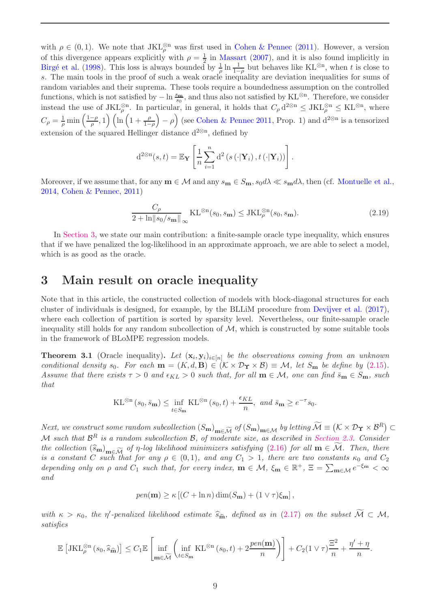<span id="page-8-2"></span>with  $\rho \in (0,1)$ . We note that  $JKL_{\rho}^{\otimes n}$  was first used in [Cohen & Pennec](#page-21-10) [\(2011](#page-21-10)). However, a version of this divergence appears explicitly with  $\rho = \frac{1}{2}$  in [Massart](#page-22-12) [\(2007](#page-22-12)), and it is also found implicitly in Birgé et al. [\(1998](#page-21-16)). This loss is always bounded by  $\frac{1}{\rho} \ln \frac{1}{1-\rho}$  but behaves like KL<sup>⊗n</sup>, when t is close to s. The main tools in the proof of such a weak oracle inequality are deviation inequalities for sums of random variables and their suprema. These tools require a boundedness assumption on the controlled functions, which is not satisfied by  $-\ln \frac{s_m}{s_0}$ , and thus also not satisfied by KL<sup>⊗n</sup>. Therefore, we consider instead the use of  $JKL_{\rho}^{\otimes n}$ . In particular, in general, it holds that  $C_{\rho} d^{2\otimes n} \leq JKL_{\rho}^{\otimes n} \leq KL^{\otimes n}$ , where  $C_\rho = \frac{1}{\rho}$  $\frac{1}{\rho} \min \left( \frac{1-\rho}{\rho}, 1 \right) \left( \ln \left( 1 + \frac{\rho}{1-\rho} \right) \right)$  $(-\rho)$  (see [Cohen & Pennec 2011](#page-21-10), Prop. 1) and  $d^{2\otimes n}$  is a tensorized extension of the squared Hellinger distance  $d^{2@n}$ , defined by

$$
d^{2\otimes n}(s,t) = \mathbb{E}_{\mathbf{Y}}\left[\frac{1}{n}\sum_{i=1}^{n} d^{2}(s(\cdot|\mathbf{Y}_{i}), t(\cdot|\mathbf{Y}_{i}))\right].
$$

Moreover, if we assume that, for any  $\mathbf{m} \in \mathcal{M}$  and any  $s_{\mathbf{m}} \in S_{\mathbf{m}}$ ,  $s_0 d\lambda \ll s_{\mathbf{m}} d\lambda$ , then (cf. [Montuelle et al.](#page-23-13), [2014](#page-23-13), [Cohen & Pennec](#page-21-10), [2011](#page-21-10))

$$
\frac{C_{\rho}}{2 + \ln \|s_0/s_{\mathbf{m}}\|_{\infty}} \operatorname{KL}^{\otimes n}(s_0, s_{\mathbf{m}}) \le \operatorname{JKL}_{\rho}^{\otimes n}(s_0, s_{\mathbf{m}}). \tag{2.19}
$$

In [Section 3,](#page-8-0) we state our main contribution: a finite-sample oracle type inequality, which ensures that if we have penalized the log-likelihood in an approximate approach, we are able to select a model, which is as good as the oracle.

### <span id="page-8-0"></span>3 Main result on oracle inequality

Note that in this article, the constructed collection of models with block-diagonal structures for each cluster of individuals is designed, for example, by the BLLiM procedure from [Devijver et al.](#page-21-6) [\(2017](#page-21-6)), where each collection of partition is sorted by sparsity level. Nevertheless, our finite-sample oracle inequality still holds for any random subcollection of  $M$ , which is constructed by some suitable tools in the framework of BLoMPE regression models.

<span id="page-8-1"></span>**Theorem 3.1** (Oracle inequality). Let  $(x_i, y_i)_{i \in [n]}$  be the observations coming from an unknown *conditional density*  $s_0$ *. For each*  $\mathbf{m} = (K, d, \mathbf{B}) \in (K \times \mathcal{D}_{\Upsilon} \times \mathcal{B}) \equiv \mathcal{M}$ , let  $S_{\mathbf{m}}$  be define by [\(2.15\)](#page-7-2). *Assume that there exists*  $\tau > 0$  *and*  $\epsilon_{KL} > 0$  *such that, for all*  $m \in M$ *, one can find*  $\bar{s}_m \in S_m$ *, such that*

$$
\mathrm{KL}^{\otimes n}(s_0, \bar{s}_{\mathbf{m}}) \le \inf_{t \in S_{\mathbf{m}}} \mathrm{KL}^{\otimes n}(s_0, t) + \frac{\epsilon_{KL}}{n}, \text{ and } \bar{s}_{\mathbf{m}} \ge e^{-\tau} s_0.
$$

*Next, we construct some random subcollection*  $(S_{\mathbf{m}})_{\mathbf{m}\in\widetilde{\mathcal{M}}}$  *of*  $(S_{\mathbf{m}})_{\mathbf{m}\in\mathcal{M}}$  *by letting*  $\widetilde{\mathcal{M}} \equiv (\mathcal{K} \times \mathcal{D}_{\Upsilon} \times \mathcal{B}^R) \subset$ M *such that* B <sup>R</sup> *is a random subcollection* <sup>B</sup>*, of moderate size, as described in [Section 2.3.](#page-6-0) Consider the collection*  $(\widehat{s}_{m})_{m\in\widetilde{\mathcal{M}}}$  *of*  $\eta$ -log likelihood minimizers satisfying [\(2.16\)](#page-7-3) for all  $m \in \widetilde{\mathcal{M}}$ *. Then, there is a constant* C *such that for any*  $\rho \in (0,1)$ *, and any*  $C_1 > 1$ *, there are two constants*  $\kappa_0$  *and*  $C_2$ *depending only on*  $\rho$  *and*  $C_1$  *such that, for every index,*  $\mathbf{m} \in \mathcal{M}$ ,  $\xi_{\mathbf{m}} \in \mathbb{R}^+$ ,  $\Xi = \sum_{\mathbf{m} \in \mathcal{M}} e^{-\xi_{\mathbf{m}}} < \infty$ *and*

$$
pen(\mathbf{m}) \ge \kappa \left[ (C + \ln n) \dim(S_{\mathbf{m}}) + (1 \vee \tau) \xi_{\mathbf{m}} \right],
$$

*with*  $\kappa > \kappa_0$ , the  $\eta'$ -penalized likelihood estimate  $\hat{s}_{\hat{\mathbf{m}}}$ , defined as in [\(2.17\)](#page-7-1) on the subset  $\mathcal{M} \subset \mathcal{M}$ , *satisfies*

$$
\mathbb{E}\left[\text{JKL}_{\rho}^{\otimes n}\left(s_0, \widehat{s}_{\widehat{\mathbf{m}}}\right)\right] \leq C_1 \mathbb{E}\left[\inf_{\mathbf{m}\in\widetilde{\mathcal{M}}}\left(\inf_{t\in S_{\mathbf{m}}} \text{KL}^{\otimes n}\left(s_0, t\right) + 2\frac{pen(\mathbf{m})}{n}\right)\right] + C_2(1\vee\tau)\frac{\Xi^2}{n} + \frac{\eta' + \eta}{n}.
$$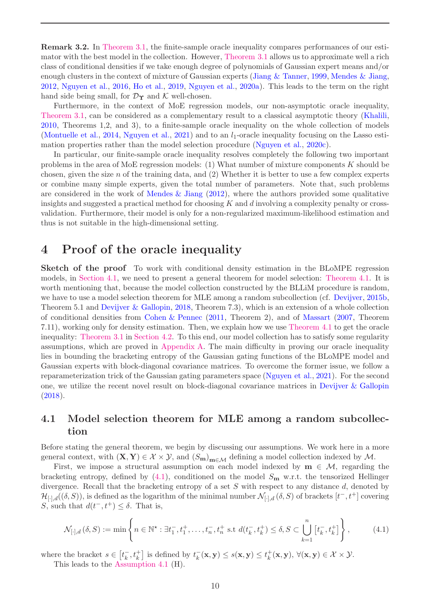<span id="page-9-4"></span>Remark 3.2. In [Theorem 3.1,](#page-8-1) the finite-sample oracle inequality compares performances of our estimator with the best model in the collection. However, [Theorem 3.1](#page-8-1) allows us to approximate well a rich class of conditional densities if we take enough degree of polynomials of Gaussian expert means and/or enough clusters in the context of mixture of Gaussian experts [\(Jiang & Tanner,](#page-22-3) [1999](#page-22-3), [Mendes & Jiang,](#page-22-4) [2012](#page-22-4), [Nguyen et al.](#page-23-4), [2016](#page-23-4), [Ho et al.,](#page-22-5) [2019](#page-22-5), [Nguyen et al.](#page-23-6), [2020a](#page-23-6)). This leads to the term on the right hand side being small, for  $\mathcal{D}_{\Upsilon}$  and K well-chosen.

Furthermore, in the context of MoE regression models, our non-asymptotic oracle inequality, [Theorem 3.1,](#page-8-1) can be considered as a complementary result to a classical asymptotic theory [\(Khalili](#page-22-17), [2010](#page-22-17), Theorems 1,2, and 3), to a finite-sample oracle inequality on the whole collection of models [\(Montuelle et al.](#page-23-13), [2014](#page-23-13), [Nguyen et al.,](#page-23-15) [2021](#page-23-15)) and to an  $l_1$ -oracle inequality focusing on the Lasso estimation properties rather than the model selection procedure [\(Nguyen et al.](#page-23-14), [2020c\)](#page-23-14).

In particular, our finite-sample oracle inequality resolves completely the following two important problems in the area of MoE regression models: (1) What number of mixture components  $K$  should be chosen, given the size  $n$  of the training data, and  $(2)$  Whether it is better to use a few complex experts or combine many simple experts, given the total number of parameters. Note that, such problems are considered in the work of [Mendes & Jiang](#page-22-4)  $(2012)$ , where the authors provided some qualitative insights and suggested a practical method for choosing K and d involving a complexity penalty or crossvalidation. Furthermore, their model is only for a non-regularized maximum-likelihood estimation and thus is not suitable in the high-dimensional setting.

### <span id="page-9-0"></span>4 Proof of the oracle inequality

Sketch of the proof To work with conditional density estimation in the BLoMPE regression models, in [Section 4.1,](#page-9-1) we need to present a general theorem for model selection: [Theorem 4.1.](#page-10-0) It is worth mentioning that, because the model collection constructed by the BLLiM procedure is random, we have to use a model selection theorem for MLE among a random subcollection (cf. [Devijver,](#page-21-13) [2015b](#page-21-13), Theorem 5.1 and [Devijver & Gallopin](#page-21-11), [2018](#page-21-11), Theorem 7.3), which is an extension of a whole collection of conditional densities from [Cohen & Pennec](#page-21-10) [\(2011](#page-21-10), Theorem 2), and of [Massart](#page-22-12) [\(2007](#page-22-12), Theorem 7.11), working only for density estimation. Then, we explain how we use [Theorem 4.1](#page-10-0) to get the oracle inequality: [Theorem 3.1](#page-8-1) in [Section 4.2.](#page-11-0) To this end, our model collection has to satisfy some regularity assumptions, which are proved in [Appendix A.](#page-14-0) The main difficulty in proving our oracle inequality lies in bounding the bracketing entropy of the Gaussian gating functions of the BLoMPE model and Gaussian experts with block-diagonal covariance matrices. To overcome the former issue, we follow a reparameterization trick of the Gaussian gating parameters space [\(Nguyen et al.,](#page-23-15) [2021](#page-23-15)). For the second one, we utilize the recent novel result on block-diagonal covariance matrices in [Devijver & Gallopin](#page-21-11) [\(2018](#page-21-11)).

### <span id="page-9-1"></span>4.1 Model selection theorem for MLE among a random subcollection

Before stating the general theorem, we begin by discussing our assumptions. We work here in a more general context, with  $(X, Y) \in \mathcal{X} \times \mathcal{Y}$ , and  $(S_m)_{m \in \mathcal{M}}$  defining a model collection indexed by  $\mathcal{M}$ .

First, we impose a structural assumption on each model indexed by  $m \in \mathcal{M}$ , regarding the bracketing entropy, defined by  $(4.1)$ , conditioned on the model  $S<sub>m</sub>$  w.r.t. the tensorized Hellinger divergence. Recall that the bracketing entropy of a set S with respect to any distance d, denoted by  $\mathcal{H}_{[\cdot],d}((\delta,S))$ , is defined as the logarithm of the minimal number  $\mathcal{N}_{[\cdot],d}(\delta,S)$  of brackets  $[t^-,t^+]$  covering S, such that  $d(t^-, t^+) \leq \delta$ . That is,

<span id="page-9-2"></span>
$$
\mathcal{N}_{[\cdot],d}(\delta,S) := \min\left\{ n \in \mathbb{N}^{\star} : \exists t_1^-, t_1^+, \dots, t_n^-, t_n^+ \text{ s.t } d(t_k^-, t_k^+) \le \delta, S \subset \bigcup_{k=1}^n \left[ t_k^-, t_k^+ \right] \right\},\tag{4.1}
$$

where the bracket  $s \in [t_k^-, t_k^+]$  is defined by  $t_k^-(\mathbf{x}, \mathbf{y}) \leq s(\mathbf{x}, \mathbf{y}) \leq t_k^+$  $_{k}^{+}(\mathbf{x}, \mathbf{y}), \forall (\mathbf{x}, \mathbf{y}) \in \mathcal{X} \times \mathcal{Y}.$ 

<span id="page-9-3"></span>This leads to the [Assumption 4.1](#page-9-3) (H).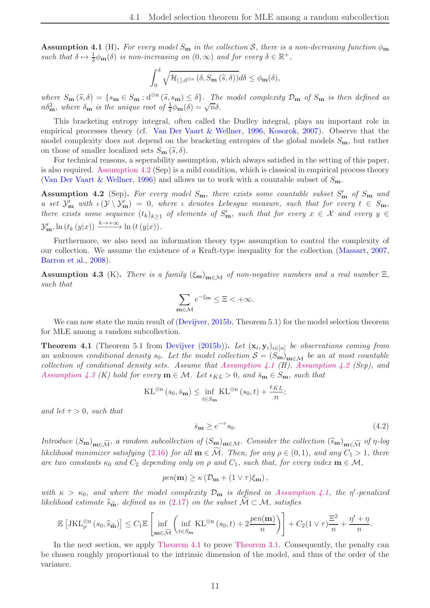<span id="page-10-4"></span>**Assumption 4.1** (H). For every model  $S_m$  in the collection S, there is a non-decreasing function  $\phi_m$ such that  $\delta \mapsto \frac{1}{\delta} \phi_{\mathbf{m}}(\delta)$  *is non-increasing on*  $(0, \infty)$  *and for every*  $\delta \in \mathbb{R}^+$ ,

$$
\int_0^\delta \sqrt{\mathcal{H}_{[.],\mathrm{d}^{\otimes n}}\left(\delta, S_{\mathbf{m}}\left(\widetilde{s},\delta\right)\right)}d\delta \leq \phi_{\mathbf{m}}(\delta),
$$

 $where S_{\mathbf{m}}(\tilde{s}, \delta) = \{s_{\mathbf{m}} \in S_{\mathbf{m}} : d^{\otimes n}(\tilde{s}, s_{\mathbf{m}}) \leq \delta\}.$  The model complexity  $\mathcal{D}_{\mathbf{m}}$  of  $S_{\mathbf{m}}$  is then defined as  $n\delta_{\mathbf{m}}^2$ , where  $\delta_{\mathbf{m}}$  is the unique root of  $\frac{1}{\delta}\phi_{\mathbf{m}}(\delta) = \sqrt{n}\delta$ .

This bracketing entropy integral, often called the Dudley integral, plays an important role in empirical processes theory (cf. [Van Der Vaart & Wellner](#page-24-5), [1996,](#page-24-5) [Kosorok,](#page-22-18) [2007](#page-22-18)). Observe that the model complexity does not depend on the bracketing entropies of the global models  $S_{\mathbf{m}}$ , but rather on those of smaller localized sets  $S_{\mathbf{m}}(\widetilde{s},\delta)$ .

For technical reasons, a seperability assumption, which always satisfied in the setting of this paper, is also required. [Assumption 4.2](#page-10-1) (Sep) is a mild condition, which is classical in empirical process theory [\(Van Der Vaart & Wellner](#page-24-5), [1996\)](#page-24-5) and allows us to work with a countable subset of  $S_{\mathbf{m}}$ .

<span id="page-10-1"></span>Assumption 4.2 (Sep). *For every model* Sm*, there exists some countable subset* S ′ <sup>m</sup> *of* S<sup>m</sup> *and a* set  $\mathcal{Y}'_m$  with  $\iota(\mathcal{Y} \setminus \mathcal{Y}'_m) = 0$ , where  $\iota$  denotes Lebesgue measure, such that for every  $t \in S_m$ , *there exists some sequence*  $(t_k)_{k\geq 1}$  *of elements of*  $S'_m$ *, such that for every*  $x \in \mathcal{X}$  *and every*  $y \in$  $\mathcal{Y}'_{\mathbf{m}}$ , ln  $(t_k(y|x)) \xrightarrow{k \to +\infty} \ln(t(y|x)).$ 

Furthermore, we also need an information theory type assumption to control the complexity of our collection. We assume the existence of a Kraft-type inequality for the collection [\(Massart,](#page-22-12) [2007](#page-22-12), [Barron et al.,](#page-20-3) [2008](#page-20-3)).

<span id="page-10-2"></span>Assumption 4.3 (K). *There is a family*  $(\xi_m)_{m \in \mathcal{M}}$  *of non-negative numbers and a real number*  $\Xi$ *, such that*

$$
\sum_{\mathbf{m}\in\mathcal{M}}e^{-\xi_{\mathbf{m}}}\leq\Xi<+\infty.
$$

<span id="page-10-0"></span>We can now state the main result of [\(Devijver,](#page-21-13) [2015b](#page-21-13), Theorem 5.1) for the model selection theorem for MLE among a random subcollection.

**Theorem 4.1** (Theorem 5.1 from [Devijver](#page-21-13) [\(2015b](#page-21-13))). Let  $(\mathbf{x}_i, \mathbf{y}_i)_{i \in [n]}$  be observations coming from an unknown conditional density  $s_0$ . Let the model collection  $S = (S_m)_{m \in \mathcal{M}}$  be an at most countable *collection of conditional density sets. Assume that [Assumption 4.1](#page-9-3) (H), [Assumption 4.2](#page-10-1) (Sep), and [Assumption 4.3](#page-10-2) (K) hold for every*  $\mathbf{m} \in \mathcal{M}$ *. Let*  $\epsilon_{KL} > 0$ *, and*  $\bar{s}_{\mathbf{m}} \in S_{\mathbf{m}}$ *, such that* 

$$
\mathrm{KL}^{\otimes n}(s_0, \bar{s}_{\mathbf{m}}) \le \inf_{t \in S_{\mathbf{m}}} \mathrm{KL}^{\otimes n}(s_0, t) + \frac{\epsilon_{KL}}{n};
$$

*and let*  $\tau > 0$ *, such that* 

<span id="page-10-3"></span>
$$
\bar{s}_{\mathbf{m}} \ge e^{-\tau} s_0. \tag{4.2}
$$

*Introduce*  $(S_m)_{m \in \widetilde{\mathcal{M}}}$ *, a random subcollection of*  $(S_m)_{m \in \mathcal{M}}$ *. Consider the collection*  $(\widehat{s}_m)_{m \in \widetilde{\mathcal{M}}}$  *of*  $\eta$ -log *likelihood minimizer satisfying* [\(2.16\)](#page-7-3) *for all*  $\mathbf{m} \in \mathcal{M}$ *. Then, for any*  $\rho \in (0,1)$ *, and any*  $C_1 > 1$ *, there are two constants*  $\kappa_0$  *and*  $C_2$  *depending only on*  $\rho$  *and*  $C_1$ *, such that, for every index*  $\mathbf{m} \in \mathcal{M}$ *,* 

$$
pen(\mathbf{m}) \ge \kappa \left( \mathcal{D}_{\mathbf{m}} + (1 \vee \tau)\xi_{\mathbf{m}} \right),
$$

*with*  $\kappa > \kappa_0$ , and where the model complexity  $\mathcal{D}_{\mathbf{m}}$  is defined in [Assumption 4.1,](#page-9-3) the  $\eta'$ -penalized *likelihood estimate*  $\hat{s}_{\hat{\mathbf{m}}}$ *, defined as in* [\(2.17\)](#page-7-1) *on the subset*  $M \subset M$ *, satisfies* 

$$
\mathbb{E}\left[\text{JKL}_{\rho}^{\otimes n}\left(s_0,\widehat{s}_{\widehat{\mathbf{m}}}\right)\right] \leq C_1 \mathbb{E}\left[\inf_{\mathbf{m}\in\widetilde{\mathcal{M}}}\left(\inf_{t\in S_{\mathbf{m}}} \text{KL}^{\otimes n}\left(s_0,t\right) + 2\frac{pen(\mathbf{m})}{n}\right)\right] + C_2(1\vee\tau)\frac{\Xi^2}{n} + \frac{\eta'+\eta}{n}.
$$

In the next section, we apply [Theorem 4.1](#page-10-0) to prove [Theorem 3.1.](#page-8-1) Consequently, the penalty can be chosen roughly proportional to the intrinsic dimension of the model, and thus of the order of the variance.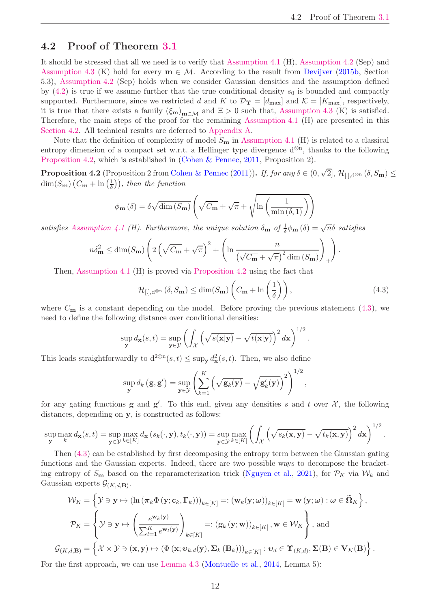### <span id="page-11-4"></span><span id="page-11-0"></span>4.2 Proof of Theorem [3.1](#page-8-1)

It should be stressed that all we need is to verify that [Assumption 4.1](#page-9-3) (H), [Assumption 4.2](#page-10-1) (Sep) and [Assumption 4.3](#page-10-2) (K) hold for every  $\mathbf{m} \in \mathcal{M}$ . According to the result from [Devijver](#page-21-13) [\(2015b](#page-21-13), Section 5.3), [Assumption 4.2](#page-10-1) (Sep) holds when we consider Gaussian densities and the assumption defined by  $(4.2)$  is true if we assume further that the true conditional density  $s_0$  is bounded and compactly supported. Furthermore, since we restricted d and K to  $\mathcal{D}_{\Upsilon} = [d_{\text{max}}]$  and  $\mathcal{K} = [K_{\text{max}}]$ , respectively, it is true that there exists a family  $(\xi_m)_{m\in\mathcal{M}}$  and  $\Xi > 0$  such that, [Assumption 4.3](#page-10-2) (K) is satisfied. Therefore, the main steps of the proof for the remaining [Assumption 4.1](#page-9-3) (H) are presented in this [Section 4.2.](#page-11-0) All technical results are deferred to [Appendix A.](#page-14-0)

Note that the definition of complexity of model  $S_m$  in [Assumption 4.1](#page-9-3) (H) is related to a classical entropy dimension of a compact set w.r.t. a Hellinger type divergence  $d^{\otimes n}$ , thanks to the following [Proposition 4.2,](#page-11-1) which is established in [\(Cohen & Pennec,](#page-21-10) [2011](#page-21-10), Proposition 2).

<span id="page-11-1"></span>**Proposition 4.2** (Proposition 2 from [Cohen & Pennec](#page-21-10) [\(2011](#page-21-10))). *If, for any*  $\delta \in (0, \sqrt{2}]$ ,  $\mathcal{H}_{[,],d^{\otimes n}}(\delta, S_m) \leq$ dim( $S_{\mathbf{m}}$ )  $(C_{\mathbf{m}} + \ln(\frac{1}{\delta}))$  $\frac{1}{\delta}$ ), then the function

$$
\phi_{\mathbf{m}}\left(\delta\right) = \delta \sqrt{\dim\left(S_{\mathbf{m}}\right)} \left(\sqrt{C_{\mathbf{m}}} + \sqrt{\pi} + \sqrt{\ln\left(\frac{1}{\min\left(\delta, 1\right)}\right)}\right)
$$

satisfies [Assumption 4.1](#page-9-3) (H). Furthermore, the unique solution  $\delta_{\bf m}$  of  $\frac{1}{\delta} \phi_{\bf m}(\delta) = \sqrt{n} \delta$  satisfies

$$
n\delta_{\mathbf{m}}^2 \le \dim(S_{\mathbf{m}})\left(2\left(\sqrt{C_{\mathbf{m}}}+\sqrt{\pi}\right)^2+\left(\ln\frac{n}{\left(\sqrt{C_{\mathbf{m}}}+\sqrt{\pi}\right)^2\dim\left(S_{\mathbf{m}}\right)}\right)_+\right).
$$

Then, [Assumption 4.1](#page-9-3) (H) is proved via [Proposition 4.2](#page-11-1) using the fact that

<span id="page-11-2"></span>
$$
\mathcal{H}_{[.],\mathrm{d}^{\otimes n}}\left(\delta, S_{\mathbf{m}}\right) \le \dim(S_{\mathbf{m}})\left(C_{\mathbf{m}} + \ln\left(\frac{1}{\delta}\right)\right),\tag{4.3}
$$

where  $C_{\mathbf{m}}$  is a constant depending on the model. Before proving the previous statement [\(4.3\)](#page-11-2), we need to define the following distance over conditional densities:

$$
\sup_{\mathbf{y}} d_{\mathbf{x}}(s,t) = \sup_{\mathbf{y} \in \mathcal{Y}} \left( \int_{\mathcal{X}} \left( \sqrt{s(\mathbf{x}|\mathbf{y})} - \sqrt{t(\mathbf{x}|\mathbf{y})} \right)^2 d\mathbf{x} \right)^{1/2}.
$$

This leads straightforwardly to  $d^{2\otimes n}(s,t) \leq \sup_{\mathbf{y}} d_{\mathbf{x}}^2(s,t)$ . Then, we also define

$$
\sup_{\mathbf{y}} d_k(\mathbf{g}, \mathbf{g}') = \sup_{\mathbf{y} \in \mathcal{Y}} \left( \sum_{k=1}^K \left( \sqrt{\mathbf{g}_k(\mathbf{y})} - \sqrt{\mathbf{g}'_k(\mathbf{y})} \right)^2 \right)^{1/2},
$$

for any gating functions **g** and **g**'. To this end, given any densities s and t over  $\mathcal{X}$ , the following distances, depending on y, is constructed as follows:

$$
\sup_{\mathbf{y}} \max_{k} d_{\mathbf{x}}(s,t) = \sup_{\mathbf{y} \in \mathcal{Y}} \max_{k \in [K]} d_{\mathbf{x}}(s_k(\cdot,\mathbf{y}),t_k(\cdot,\mathbf{y})) = \sup_{\mathbf{y} \in \mathcal{Y}} \max_{k \in [K]} \left( \int_{\mathcal{X}} \left( \sqrt{s_k(\mathbf{x},\mathbf{y})} - \sqrt{t_k(\mathbf{x},\mathbf{y})} \right)^2 d\mathbf{x} \right)^{1/2}.
$$

Then [\(4.3\)](#page-11-2) can be established by first decomposing the entropy term between the Gaussian gating functions and the Gaussian experts. Indeed, there are two possible ways to decompose the bracketing entropy of  $S_m$  based on the reparameterization trick [\(Nguyen et al.,](#page-23-15) [2021\)](#page-23-15), for  $\mathcal{P}_K$  via  $\mathcal{W}_k$  and Gaussian experts  $\mathcal{G}_{(K,d,\mathbf{B})}$ .

$$
\mathcal{W}_{K} = \left\{ \mathcal{Y} \ni \mathbf{y} \mapsto (\ln (\pi_{k} \Phi(\mathbf{y}; \mathbf{c}_{k}, \mathbf{\Gamma}_{k})))_{k \in [K]} =: (\mathbf{w}_{k}(\mathbf{y}; \omega))_{k \in [K]} = \mathbf{w}(\mathbf{y}; \omega) : \omega \in \widetilde{\Omega}_{K} \right\},
$$
  

$$
\mathcal{P}_{K} = \left\{ \mathcal{Y} \ni \mathbf{y} \mapsto \left( \frac{e^{\mathbf{w}_{k}(\mathbf{y})}}{\sum_{l=1}^{K} e^{\mathbf{w}_{l}(\mathbf{y})}} \right)_{k \in [K]} =: (\mathbf{g}_{k}(\mathbf{y}; \mathbf{w}))_{k \in [K]}, \mathbf{w} \in \mathcal{W}_{K} \right\}, \text{and}
$$
  

$$
(\kappa, d, \mathbf{B}) = \left\{ \mathcal{X} \times \mathcal{Y} \ni (\mathbf{x}, \mathbf{y}) \mapsto (\Phi(\mathbf{x}; \mathbf{v}_{k, d}(\mathbf{y}), \Sigma_{k}(\mathbf{B}_{k})))_{k \in [K]} : \mathbf{v}_{d} \in \Upsilon_{(K, d)}, \Sigma(\mathbf{B}) \in \mathbf{V}_{K}(\mathbf{B}) \right\}.
$$

<span id="page-11-3"></span>For the first approach, we can use [Lemma 4.3](#page-11-3) [\(Montuelle et al.](#page-23-13), [2014,](#page-23-13) Lemma 5):

 $\mathcal G$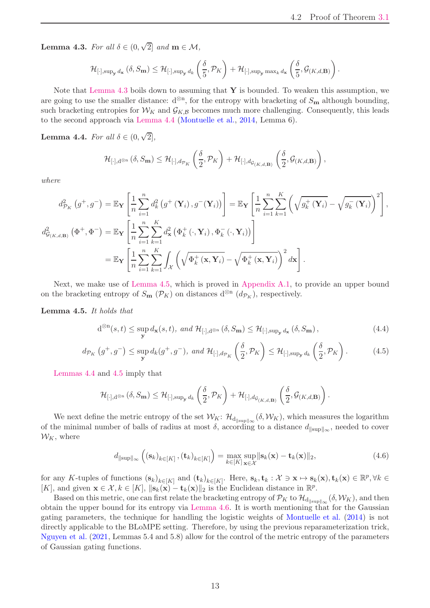<span id="page-12-5"></span>Lemma 4.3. *For all*  $\delta \in (0, \sqrt{2}]$  *and*  $m \in \mathcal{M}$ *,* 

$$
\mathcal{H}_{[\cdot],\sup_{\mathbf{y}}d_{\mathbf{x}}}(\delta, S_{\mathbf{m}}) \leq \mathcal{H}_{[\cdot],\sup_{\mathbf{y}}d_{k}}\left(\frac{\delta}{5},\mathcal{P}_{K}\right) + \mathcal{H}_{[\cdot],\sup_{\mathbf{y}}\max_{k}d_{\mathbf{x}}}\left(\frac{\delta}{5},\mathcal{G}_{(K,d,\mathbf{B})}\right).
$$

Note that [Lemma 4.3](#page-11-3) boils down to assuming that  $\mathbf Y$  is bounded. To weaken this assumption, we are going to use the smaller distance:  $d^{\otimes n}$ , for the entropy with bracketing of  $S_m$  although bounding, such bracketing entropies for  $W_K$  and  $\mathcal{G}_{K,\mathcal{B}}$  becomes much more challenging. Consequently, this leads to the second approach via [Lemma 4.4](#page-12-1) [\(Montuelle et al.,](#page-23-13) [2014](#page-23-13), Lemma 6).

<span id="page-12-1"></span>Lemma 4.4. *For all*  $\delta \in (0, \sqrt{2}],$ 

$$
\mathcal{H}_{[\cdot],\mathrm{d}^{\otimes n}}\left(\delta,S_{\mathbf{m}}\right) \leq \mathcal{H}_{[\cdot],d_{\mathcal{P}_K}}\left(\frac{\delta}{2},\mathcal{P}_K\right) + \mathcal{H}_{[\cdot],d_{\mathcal{G}_{\left(K,d,\mathbf{B}\right)}}}\left(\frac{\delta}{2},\mathcal{G}_{\left(K,d,\mathbf{B}\right)}\right),
$$

*where*

$$
d_{\mathcal{P}_{K}}^{2}\left(g^{+},g^{-}\right) = \mathbb{E}_{\mathbf{Y}}\left[\frac{1}{n}\sum_{i=1}^{n}d_{k}^{2}\left(g^{+}\left(\mathbf{Y}_{i}\right),g^{-}\left(\mathbf{Y}_{i}\right)\right)\right] = \mathbb{E}_{\mathbf{Y}}\left[\frac{1}{n}\sum_{i=1}^{n}\sum_{k=1}^{K}\left(\sqrt{g_{k}^{+}\left(\mathbf{Y}_{i}\right)}-\sqrt{g_{k}^{-}\left(\mathbf{Y}_{i}\right)}\right)^{2}\right],
$$
  

$$
d_{\mathcal{G}_{(K,d,\mathbf{B})}}^{2}\left(\Phi^{+},\Phi^{-}\right) = \mathbb{E}_{\mathbf{Y}}\left[\frac{1}{n}\sum_{i=1}^{n}\sum_{k=1}^{K}d_{\mathbf{x}}^{2}\left(\Phi_{k}^{+}\left(\cdot,\mathbf{Y}_{i}\right),\Phi_{k}^{-}\left(\cdot,\mathbf{Y}_{i}\right)\right)\right]
$$

$$
= \mathbb{E}_{\mathbf{Y}}\left[\frac{1}{n}\sum_{i=1}^{n}\sum_{k=1}^{K}\int_{\mathcal{X}}\left(\sqrt{\Phi_{k}^{+}\left(\mathbf{x},\mathbf{Y}_{i}\right)}-\sqrt{\Phi_{k}^{+}\left(\mathbf{x},\mathbf{Y}_{i}\right)}\right)^{2}d\mathbf{x}\right].
$$

<span id="page-12-0"></span>Next, we make use of [Lemma 4.5,](#page-12-0) which is proved in [Appendix A.1,](#page-14-1) to provide an upper bound on the bracketing entropy of  $S_{\mathbf{m}}(\mathcal{P}_K)$  on distances  $d^{\otimes n}(d_{\mathcal{P}_K})$ , respectively.

Lemma 4.5. *It holds that*

<span id="page-12-3"></span>
$$
d^{\otimes n}(s,t) \le \sup_{\mathbf{y}} d_{\mathbf{x}}(s,t), \ and \ \mathcal{H}_{[\cdot],d^{\otimes n}}\left(\delta, S_{\mathbf{m}}\right) \le \mathcal{H}_{[\cdot],\sup_{\mathbf{y}} d_{\mathbf{x}}}\left(\delta, S_{\mathbf{m}}\right),\tag{4.4}
$$

$$
d_{\mathcal{P}_K}\left(g^+, g^-\right) \le \sup_{\mathbf{y}} d_k(g^+, g^-), \text{ and } \mathcal{H}_{[\cdot], d_{\mathcal{P}_K}\left(\frac{\delta}{2}, \mathcal{P}_K\right) \le \mathcal{H}_{[\cdot], \sup_{\mathbf{y}} d_k}\left(\frac{\delta}{2}, \mathcal{P}_K\right). \tag{4.5}
$$

[Lemmas 4.4](#page-12-1) and [4.5](#page-12-0) imply that

<span id="page-12-4"></span>
$$
\mathcal{H}_{[\cdot],\mathrm{d}^{\otimes n}}\left(\delta,S_{\mathbf{m}}\right) \leq \mathcal{H}_{[\cdot],\sup_{\mathbf{y}} d_k}\left(\frac{\delta}{2},\mathcal{P}_K\right) + \mathcal{H}_{[\cdot],d_{\mathcal{G}_{\left(K,d,\mathbf{B}\right)}}}\left(\frac{\delta}{2},\mathcal{G}_{\left(K,d,\mathbf{B}\right)}\right).
$$

We next define the metric entropy of the set  $\mathcal{W}_K$ :  $\mathcal{H}_{d_{\|\text{sup}\|_\infty}}(\delta, \mathcal{W}_K)$ , which measures the logarithm of the minimal number of balls of radius at most  $\delta$ , according to a distance  $d_{\parallel \text{sup}\parallel_{\infty}}$ , needed to cover  $W_K$ , where

$$
d_{\|\text{sup}\|_{\infty}}\left((\mathbf{s}_k)_{k\in[K]}, (\mathbf{t}_k)_{k\in[K]}\right) = \max_{k\in[K]} \sup_{\mathbf{x}\in\mathcal{X}} \|\mathbf{s}_k(\mathbf{x}) - \mathbf{t}_k(\mathbf{x})\|_2,\tag{4.6}
$$

for any K-tuples of functions  $(\mathbf{s}_k)_{k\in[K]}$  and  $(\mathbf{t}_k)_{k\in[K]}$ . Here,  $\mathbf{s}_k, \mathbf{t}_k : \mathcal{X} \ni \mathbf{x} \mapsto \mathbf{s}_k(\mathbf{x}), \mathbf{t}_k(\mathbf{x}) \in \mathbb{R}^p, \forall k \in K$ [K], and given  $\mathbf{x} \in \mathcal{X}, k \in [K], ||\mathbf{s}_k(\mathbf{x}) - \mathbf{t}_k(\mathbf{x})||_2$  is the Euclidean distance in  $\mathbb{R}^p$ .

<span id="page-12-2"></span>Based on this metric, one can first relate the bracketing entropy of  $\mathcal{P}_K$  to  $\mathcal{H}_{d_{\parallel \sup \parallel_{\infty}}}(\delta, \mathcal{W}_K)$ , and then obtain the upper bound for its entropy via [Lemma 4.6.](#page-12-2) It is worth mentioning that for the Gaussian gating parameters, the technique for handling the logistic weights of [Montuelle et al.](#page-23-13) [\(2014\)](#page-23-13) is not directly applicable to the BLoMPE setting. Therefore, by using the previous reparameterization trick, [Nguyen et al.](#page-23-15) [\(2021](#page-23-15), Lemmas 5.4 and 5.8) allow for the control of the metric entropy of the parameters of Gaussian gating functions.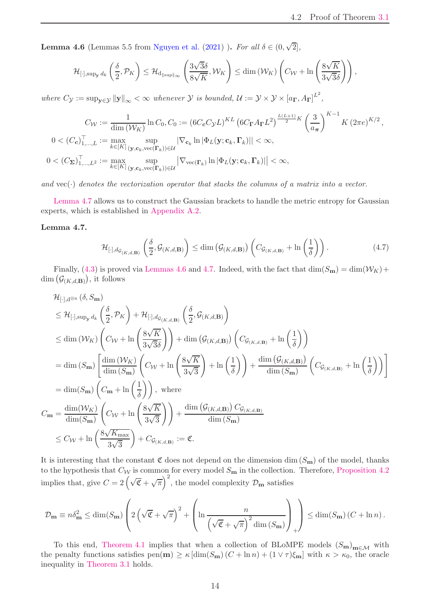<span id="page-13-1"></span>**Lemma 4.6** (Lemmas 5.5 from [Nguyen et al.](#page-23-15) [\(2021\)](#page-23-15) ). *For all*  $\delta \in (0, \sqrt{2}]$ ,

$$
\mathcal{H}_{[\cdot],\sup_\mathbf{y} d_k}\left(\frac{\delta}{2},\mathcal{P}_K\right) \leq \mathcal{H}_{\mathrm{d}_{\|sup\|_\infty}}\left(\frac{3\sqrt{3}\delta}{8\sqrt{K}},\mathcal{W}_K\right) \leq \dim\left(\mathcal{W}_K\right)\left(C_{\mathcal{W}}+\ln\left(\frac{8\sqrt{K}}{3\sqrt{3}\delta}\right)\right),
$$

*where*  $C_{\mathcal{Y}} := \sup_{\mathbf{y} \in \mathcal{Y}} ||\mathbf{y}||_{\infty} < \infty$  *whenever*  $\mathcal{Y}$  *is bounded,*  $\mathcal{U} := \mathcal{Y} \times \mathcal{Y} \times [a_{\mathbf{\Gamma}}, A_{\mathbf{\Gamma}}]^{L^2}$ ,

$$
C_{\mathcal{W}} := \frac{1}{\dim(\mathcal{W}_K)} \ln C_0, C_0 := (6C_c C_{\mathcal{Y}} L)^{KL} \left(6C_{\mathbf{\Gamma}} A_{\mathbf{\Gamma}} L^2\right)^{\frac{L(L+1)}{2} K} \left(\frac{3}{a_{\pi}}\right)^{K-1} K \left(2\pi e^{K/2}, \frac{C_{\mathcal{W}}}{\left(\frac{1}{a_{\pi}}\right)^{K}}\right)^{K-1} K \left(2\pi e^{K/2}, \frac{C_{\mathcal{W}}}{\left(\frac{1}{a_{\pi}}\right)^{K}}\right)^{K}
$$
  
\n
$$
0 < (C_{\Sigma})_{1,\dots,L^2}^T := \max_{k \in [K]} \sup_{(\mathbf{y}, \mathbf{c}_k, \text{vec}(\mathbf{\Gamma}_k)) \in \mathcal{U}} \left|\nabla_{\text{vec}(\mathbf{\Gamma}_k)} \ln \left|\Phi_L(\mathbf{y}; \mathbf{c}_k, \mathbf{\Gamma}_k)\right|\right| < \infty,
$$

*and* vec(·) *denotes the vectorization operator that stacks the columns of a matrix into a vector.*

<span id="page-13-0"></span>[Lemma 4.7](#page-13-0) allows us to construct the Gaussian brackets to handle the metric entropy for Gaussian experts, which is established in [Appendix A.2.](#page-14-2)

#### Lemma 4.7.

$$
\mathcal{H}_{[\cdot],d_{\mathcal{G}_{(K,d,\mathbf{B})}}}\left(\frac{\delta}{2},\mathcal{G}_{(K,d,\mathbf{B})}\right) \leq \dim\left(\mathcal{G}_{(K,d,\mathbf{B})}\right)\left(C_{\mathcal{G}_{(K,d,\mathbf{B})}} + \ln\left(\frac{1}{\delta}\right)\right). \tag{4.7}
$$

Finally, [\(4.3\)](#page-11-2) is proved via [Lemmas 4.6](#page-12-2) and [4.7.](#page-13-0) Indeed, with the fact that  $\dim(S_m) = \dim(W_K) +$  $\dim\big(\mathcal{G}_{(K,d,\mathbf{B})}\big),\,$ it follows

$$
\mathcal{H}_{[\cdot],d^{\otimes n}}(\delta, S_{\mathbf{m}})
$$
\n
$$
\leq \mathcal{H}_{[\cdot],\sup_{\mathbf{y}}d_{k}}\left(\frac{\delta}{2},\mathcal{P}_{K}\right) + \mathcal{H}_{[\cdot],d_{\mathcal{G}_{(K,d,\mathbf{B})}}}\left(\frac{\delta}{2},\mathcal{G}_{(K,d,\mathbf{B})}\right)
$$
\n
$$
\leq \dim(\mathcal{W}_{K})\left(C_{\mathcal{W}} + \ln\left(\frac{8\sqrt{K}}{3\sqrt{3}\delta}\right)\right) + \dim\left(\mathcal{G}_{(K,d,\mathbf{B})}\right)\left(C_{\mathcal{G}_{(K,d,\mathbf{B})}} + \ln\left(\frac{1}{\delta}\right)\right)
$$
\n
$$
= \dim(S_{\mathbf{m}})\left[\frac{\dim(\mathcal{W}_{K})}{\dim(S_{\mathbf{m}})}\left(C_{\mathcal{W}} + \ln\left(\frac{8\sqrt{K}}{3\sqrt{3}}\right) + \ln\left(\frac{1}{\delta}\right)\right) + \frac{\dim\left(\mathcal{G}_{(K,d,\mathbf{B})}\right)}{\dim(S_{\mathbf{m}})}\left(C_{\mathcal{G}_{(K,d,\mathbf{B})}} + \ln\left(\frac{1}{\delta}\right)\right)\right]
$$
\n
$$
= \dim(S_{\mathbf{m}})\left(C_{\mathbf{m}} + \ln\left(\frac{1}{\delta}\right)\right), \text{ where}
$$
\n
$$
C_{\mathbf{m}} = \frac{\dim(\mathcal{W}_{K})}{\dim(S_{\mathbf{m}})}\left(C_{\mathcal{W}} + \ln\left(\frac{8\sqrt{K}}{3\sqrt{3}}\right)\right) + \frac{\dim\left(\mathcal{G}_{(K,d,\mathbf{B})}\right)C_{\mathcal{G}_{(K,d,\mathbf{B})}}}{\dim(S_{\mathbf{m}})}
$$
\n
$$
\leq C_{\mathcal{W}} + \ln\left(\frac{8\sqrt{K_{\max}}}{3\sqrt{3}}\right) + C_{\mathcal{G}_{(K,d,\mathbf{B})}} := \mathfrak{C}.
$$

It is interesting that the constant  $\mathfrak C$  does not depend on the dimension dim  $(S_m)$  of the model, thanks to the hypothesis that  $C_W$  is common for every model  $S_m$  in the collection. Therefore, [Proposition 4.2](#page-11-1) implies that, give  $C = 2(\sqrt{\mathfrak{C}} + \sqrt{\pi})^2$ , the model complexity  $\mathcal{D}_{\mathbf{m}}$  satisfies

$$
\mathcal{D}_{\mathbf{m}} \equiv n \delta_{\mathbf{m}}^2 \le \dim(S_{\mathbf{m}}) \left( 2\left(\sqrt{\mathfrak{C}} + \sqrt{\pi}\right)^2 + \left(\ln \frac{n}{\left(\sqrt{\mathfrak{C}} + \sqrt{\pi}\right)^2 \dim(S_{\mathbf{m}})}\right)_+ \right) \le \dim(S_{\mathbf{m}}) \left(C + \ln n\right).
$$

To this end, [Theorem 4.1](#page-10-0) implies that when a collection of BLoMPE models  $(S_m)_{m \in \mathcal{M}}$  with the penalty functions satisfies  $pen(m) \ge \kappa \left[\dim(S_m)(C + \ln n) + (1 \vee \tau)\xi_m\right]$  with  $\kappa > \kappa_0$ , the oracle inequality in [Theorem 3.1](#page-8-1) holds.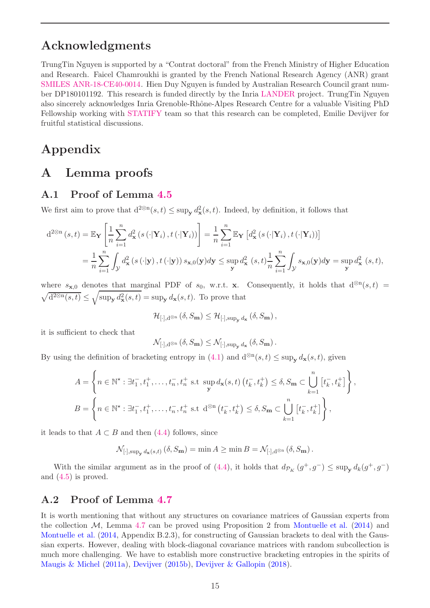## <span id="page-14-3"></span>Acknowledgments

TrungTin Nguyen is supported by a "Contrat doctoral" from the French Ministry of Higher Education and Research. Faicel Chamroukhi is granted by the French National Research Agency (ANR) grant [SMILES ANR-18-CE40-0014.](https://anr.fr/en/funded-projects-and-impact/funded-projects/project/funded/project/b2d9d3668f92a3b9fbbf7866072501ef-f004f5ad27/?tx_anrprojects_funded%5Bcontroller%5D=Funded&cHash=895d4c3a16ad6a0902e6515eb65fba37) Hien Duy Nguyen is funded by Australian Research Council grant number DP180101192. This research is funded directly by the Inria [LANDER](https://team.inria.fr/statify/projects/lander/) project. TrungTin Nguyen also sincerely acknowledges Inria Grenoble-Rhône-Alpes Research Centre for a valuable Visiting PhD Fellowship working with [STATIFY](https://team.inria.fr/statify/) team so that this research can be completed, Emilie Devijver for fruitful statistical discussions.

## <span id="page-14-0"></span>Appendix

### A Lemma proofs

### <span id="page-14-1"></span>A.1 Proof of Lemma [4.5](#page-12-0)

We first aim to prove that  $d^{2\otimes n}(s,t) \leq \sup_{\mathbf{y}} d_{\mathbf{x}}^2(s,t)$ . Indeed, by definition, it follows that

$$
d^{2\otimes n}(s,t) = \mathbb{E}_{\mathbf{Y}}\left[\frac{1}{n}\sum_{i=1}^{n}d_{\mathbf{x}}^{2}(s(\cdot|\mathbf{Y}_{i}),t(\cdot|\mathbf{Y}_{i}))\right] = \frac{1}{n}\sum_{i=1}^{n}\mathbb{E}_{\mathbf{Y}}\left[d_{\mathbf{x}}^{2}(s(\cdot|\mathbf{Y}_{i}),t(\cdot|\mathbf{Y}_{i}))\right]
$$
  

$$
= \frac{1}{n}\sum_{i=1}^{n}\int_{\mathcal{Y}}d_{\mathbf{x}}^{2}(s(\cdot|\mathbf{y}),t(\cdot|\mathbf{y}))s_{\mathbf{x},0}(\mathbf{y})d\mathbf{y} \leq \sup_{\mathbf{y}}d_{\mathbf{x}}^{2}(s,t)\frac{1}{n}\sum_{i=1}^{n}\int_{\mathcal{Y}}s_{\mathbf{x},0}(\mathbf{y})d\mathbf{y} = \sup_{\mathbf{y}}d_{\mathbf{x}}^{2}(s,t),
$$

where  $s_{\mathbf{x},0}$  denotes that marginal PDF of  $s_0$ , w.r.t. x. Consequently, it holds that  $d^{\otimes n}(s,t)$  =  $\sqrt{d^{2\otimes n}(s,t)} \leq \sqrt{\sup_{\mathbf{y}} d_{\mathbf{x}}^2(s,t)} = \sup_{\mathbf{y}} d_{\mathbf{x}}(s,t)$ . To prove that

$$
\mathcal{H}_{[\cdot],\mathrm{d}^{\otimes n}}\left(\delta,S_{\mathbf{m}}\right) \leq \mathcal{H}_{[\cdot],\sup_{\mathbf{y}}d_{\mathbf{x}}}\left(\delta,S_{\mathbf{m}}\right),
$$

it is sufficient to check that

$$
\mathcal{N}_{[\cdot],\mathrm{d}^{\otimes n}}\left(\delta,S_{\mathbf{m}}\right)\leq \mathcal{N}_{[\cdot],\sup_{\mathbf{y}}d_{\mathbf{x}}}\left(\delta,S_{\mathbf{m}}\right).
$$

By using the definition of bracketing entropy in  $(4.1)$  and  $d^{\otimes n}(s,t) \leq \sup_{\mathbf{y}} d_{\mathbf{x}}(s,t)$ , given

$$
A = \left\{ n \in \mathbb{N}^{\star} : \exists t_1^-, t_1^+, \dots, t_n^-, t_n^+ \text{ s.t } \sup_{\mathbf{y}} d_{\mathbf{x}}(s, t) \left( t_k^-, t_k^+ \right) \le \delta, S_{\mathbf{m}} \subset \bigcup_{k=1}^n \left[ t_k^-, t_k^+ \right] \right\},
$$
  

$$
B = \left\{ n \in \mathbb{N}^{\star} : \exists t_1^-, t_1^+, \dots, t_n^-, t_n^+ \text{ s.t } d^{\otimes n} \left( t_k^-, t_k^+ \right) \le \delta, S_{\mathbf{m}} \subset \bigcup_{k=1}^n \left[ t_k^-, t_k^+ \right] \right\},
$$

it leads to that  $A \subset B$  and then [\(4.4\)](#page-12-3) follows, since

$$
\mathcal{N}_{[\cdot],\sup_{\mathbf{y}} d_{\mathbf{x}}(s,t)}\left(\delta, S_{\mathbf{m}}\right) = \min A \geq \min B = \mathcal{N}_{[\cdot],d^{\otimes n}}\left(\delta, S_{\mathbf{m}}\right).
$$

With the similar argument as in the proof of [\(4.4\)](#page-12-3), it holds that  $d_{\mathcal{P}_K}(g^+, g^-) \leq \sup_{\mathbf{y}} d_k(g^+, g^-)$ and [\(4.5\)](#page-12-4) is proved.

#### <span id="page-14-2"></span>A.2 Proof of Lemma [4.7](#page-13-0)

It is worth mentioning that without any structures on covariance matrices of Gaussian experts from the collection  $M$ , Lemma [4.7](#page-13-0) can be proved using Proposition 2 from [Montuelle et al.](#page-23-13) [\(2014](#page-23-13)) and [Montuelle et al.](#page-23-13) [\(2014](#page-23-13), Appendix B.2.3), for constructing of Gaussian brackets to deal with the Gaussian experts. However, dealing with block-diagonal covariance matrices with random subcollection is much more challenging. We have to establish more constructive bracketing entropies in the spirits of [Maugis & Michel](#page-22-14) [\(2011a](#page-22-14)), [Devijver](#page-21-13) [\(2015b\)](#page-21-13), [Devijver & Gallopin](#page-21-11) [\(2018\)](#page-21-11).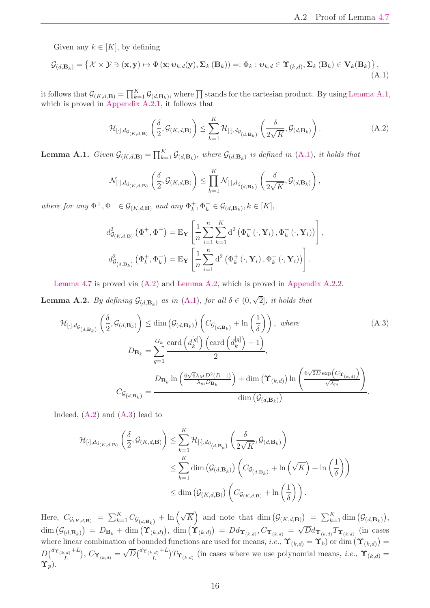Given any  $k \in [K]$ , by defining

$$
\mathcal{G}_{(d,\mathbf{B}_k)} = \left\{ \mathcal{X} \times \mathcal{Y} \ni (\mathbf{x}, \mathbf{y}) \mapsto \Phi(\mathbf{x}; \boldsymbol{v}_{k,d}(\mathbf{y}), \boldsymbol{\Sigma}_k (\mathbf{B}_k)) =: \Phi_k : \boldsymbol{v}_{k,d} \in \Upsilon_{(k,d)}, \boldsymbol{\Sigma}_k (\mathbf{B}_k) \in \mathbf{V}_k (\mathbf{B}_k) \right\},\tag{A.1}
$$

it follows that  $\mathcal{G}_{(K,d,\mathbf{B})} = \prod_{k=1}^K \mathcal{G}_{(d,\mathbf{B}_k)}$ , where  $\prod$  stands for the cartesian product. By using [Lemma A.1,](#page-15-0) which is proved in [Appendix A.2.1,](#page-16-0) it follows that

<span id="page-15-3"></span><span id="page-15-2"></span>
$$
\mathcal{H}_{[\cdot],d_{\mathcal{G}_{(K,d,\mathbf{B})}}}\left(\frac{\delta}{2},\mathcal{G}_{(K,d,\mathbf{B})}\right) \leq \sum_{k=1}^{K} \mathcal{H}_{[\cdot],d_{\mathcal{G}_{(d,\mathbf{B}_k)}}}\left(\frac{\delta}{2\sqrt{K}},\mathcal{G}_{(d,\mathbf{B}_k)}\right). \tag{A.2}
$$

<span id="page-15-0"></span>**Lemma A.1.** *Given*  $\mathcal{G}_{(K,d,\mathbf{B})} = \prod_{k=1}^K \mathcal{G}_{(d,\mathbf{B}_k)}$ *, where*  $\mathcal{G}_{(d,\mathbf{B}_k)}$  *is defined in* [\(A.1\)](#page-15-2)*, it holds that* 

$$
\mathcal{N}_{[\cdot],d_{\mathcal{G}_{(K,d,\mathbf{B})}}}\left(\frac{\delta}{2},\mathcal{G}_{(K,d,\mathbf{B})}\right)\leq \prod_{k=1}^K \mathcal{N}_{[\cdot],d_{\mathcal{G}_{(d,\mathbf{B}_k)}}}\left(\frac{\delta}{2\sqrt{K}},\mathcal{G}_{(d,\mathbf{B}_k)}\right),
$$

*where for any*  $\Phi^+, \Phi^- \in \mathcal{G}_{(K,d,\mathbf{B})}$  *and any*  $\Phi_k^+$  $\mathcal{F}_{k}^{+}, \Phi_{k}^{-} \in \mathcal{G}_{(d, \mathbf{B}_{k})}, k \in [K],$ 

<span id="page-15-4"></span>
$$
d_{\mathcal{G}_{(K,d,\mathbf{B})}}^{2}(\Phi^{+},\Phi^{-}) = \mathbb{E}_{\mathbf{Y}}\left[\frac{1}{n}\sum_{i=1}^{n}\sum_{k=1}^{K}d^{2}\left(\Phi_{k}^{+}\left(\cdot,\mathbf{Y}_{i}\right),\Phi_{k}^{-}\left(\cdot,\mathbf{Y}_{i}\right)\right)\right],
$$

$$
d_{\mathcal{G}_{(d,\mathbf{B}_{k})}}^{2}\left(\Phi_{k}^{+},\Phi_{k}^{-}\right) = \mathbb{E}_{\mathbf{Y}}\left[\frac{1}{n}\sum_{i=1}^{n}d^{2}\left(\Phi_{k}^{+}\left(\cdot,\mathbf{Y}_{i}\right),\Phi_{k}^{-}\left(\cdot,\mathbf{Y}_{i}\right)\right)\right].
$$

<span id="page-15-1"></span>[Lemma 4.7](#page-13-0) is proved via [\(A.2\)](#page-15-3) and [Lemma A.2,](#page-15-1) which is proved in [Appendix A.2.2.](#page-16-1)

**Lemma A.2.** *By defining*  $\mathcal{G}_{(d,\mathbf{B}_k)}$  *as in* [\(A.1\)](#page-15-2)*, for all*  $\delta \in (0,\sqrt{2}]$ *, it holds that* 

$$
\mathcal{H}_{[\cdot],d_{\mathcal{G}_{(d,\mathbf{B}_k)}}}\left(\frac{\delta}{2},\mathcal{G}_{(d,\mathbf{B}_k)}\right) \leq \dim\left(\mathcal{G}_{(d,\mathbf{B}_k)}\right) \left(C_{\mathcal{G}_{(d,\mathbf{B}_k)}} + \ln\left(\frac{1}{\delta}\right)\right), \text{ where } (A.3)
$$
\n
$$
D_{\mathbf{B}_k} = \sum_{g=1}^{G_k} \frac{\text{card}\left(d_k^{[g]}\right) \left(\text{card}\left(d_k^{[g]}\right) - 1\right)}{2},
$$
\n
$$
C_{\mathcal{G}_{(d,\mathbf{B}_k)}} = \frac{D_{\mathbf{B}_k} \ln\left(\frac{6\sqrt{6}\lambda_M D^2(D-1)}{\lambda_m D_{\mathbf{B}_k}}\right) + \dim\left(\Upsilon_{(k,d)}\right) \ln\left(\frac{6\sqrt{2D}\exp\left(C_{\Upsilon_{(k,d)}}\right)}{\sqrt{\lambda_m}}\right)}{\dim\left(\mathcal{G}_{(d,\mathbf{B}_k)}\right)}.
$$
\n(A.3)

Indeed,  $(A.2)$  and  $(A.3)$  lead to

$$
\mathcal{H}_{[\cdot],d_{\mathcal{G}_{(K,d,\mathbf{B})}}}\left(\frac{\delta}{2},\mathcal{G}_{(K,d,\mathbf{B})}\right) \leq \sum_{k=1}^{K} \mathcal{H}_{[\cdot],d_{\mathcal{G}_{(d,\mathbf{B}_k)}}}\left(\frac{\delta}{2\sqrt{K}},\mathcal{G}_{(d,\mathbf{B}_k)}\right)
$$
  

$$
\leq \sum_{k=1}^{K} \dim\left(\mathcal{G}_{(d,\mathbf{B}_k)}\right)\left(C_{\mathcal{G}_{(d,\mathbf{B}_k)}} + \ln\left(\sqrt{K}\right) + \ln\left(\frac{1}{\delta}\right)\right)
$$
  

$$
\leq \dim\left(\mathcal{G}_{(K,d,\mathbf{B})}\right)\left(C_{\mathcal{G}_{(K,d,\mathbf{B})}} + \ln\left(\frac{1}{\delta}\right)\right).
$$

Here,  $C_{\mathcal{G}_{(K,d,\mathbf{B})}} = \sum_{k=1}^K C_{\mathcal{G}_{(d,\mathbf{B}_k)}} + \ln(\sqrt{K})$  and note that  $\dim(\mathcal{G}_{(K,d,\mathbf{B})}) = \sum_{k=1}^K \dim(\mathcal{G}_{(d,\mathbf{B}_k)})$ ,  $\dim (\mathcal{G}_{(d,\mathbf{B}_k)}) = D_{\mathbf{B}_k} + \dim (\mathbf{\hat{Y}}_{(k,d)})$ ,  $\dim (\mathbf{\hat{Y}}_{(k,d)}) = Dd_{\mathbf{\hat{Y}}_{(k,d)}}, C_{\mathbf{\hat{Y}}_{(k,d)}} = \sqrt{D}d_{\mathbf{\hat{Y}}_{(k,d)}} T_{\mathbf{\hat{Y}}_{(k,d)}}$  (in cases where linear combination of bounded functions are used for means, *i.e.*,  $\Upsilon_{(k,d)} = \Upsilon_b$  or dim  $(\Upsilon_{(k,d)})$  $D\big(\begin{smallmatrix} d\boldsymbol{\Upsilon}_{(k,d)}+L \ r \end{smallmatrix}$  $\int_{L}^{\{d, d\}}$ ,  $C_{\Upsilon_{(k,d)}} = \sqrt{D} \begin{pmatrix} {d_{\Upsilon_{(k,d)}}} + L \\ L \end{pmatrix}$  $\int_L^{(d)} \int d\mathbf{r} \cdot d\mathbf{r}$  (in cases where we use polynomial means, *i.e.*,  $\mathbf{\hat{T}}_{(k,d)} =$  $\Upsilon_p$ ).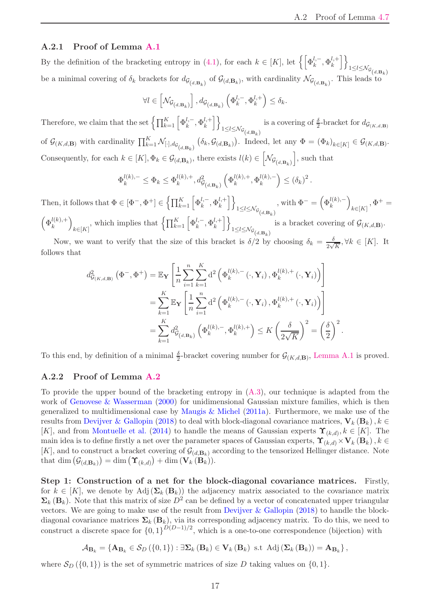#### <span id="page-16-2"></span><span id="page-16-0"></span>A.2.1 Proof of Lemma [A.1](#page-15-0)

By the definition of the bracketing entropy in [\(4.1\)](#page-9-2), for each  $k \in [K]$ , let  $\left\{ \left[ \Phi_k^{l,-}, \Phi_k^{l,+} \right] \right\}$ k io  $1 \leq l \leq \mathcal{N}_{\mathcal{G}}(d,\mathbf{B}_k)$ be a minimal covering of  $\delta_k$  brackets for  $d_{\mathcal{G}_{(d,\mathbf{B}_k)}}$  of  $\mathcal{G}_{(d,\mathbf{B}_k)}$ , with cardinality  $\mathcal{N}_{\mathcal{G}_{(d,\mathbf{B}_k)}}$ . This leads to

$$
\forall l \in \left[\mathcal{N}_{\mathcal{G}_{\left(d,\mathbf{B}_k\right)}}\right], d_{\mathcal{G}_{\left(d,\mathbf{B}_k\right)}}\left(\Phi_k^{l,-},\Phi_k^{l,+}\right) \leq \delta_k.
$$

Therefore, we claim that the set  $\left\{ \prod_{k=1}^K \left[ \Phi_k^{l,-},\Phi_k^{l,+} \right] \right.$ k io  $1 \leq l \leq \mathcal{N}_{\mathcal{G}}(d,\mathbf{B}_k)$ is a covering of  $\frac{\delta}{2}$ -bracket for  $d_{\mathcal{G}_{(K,d,\mathbf{B})}}$ of  $\mathcal{G}_{(K,d,\mathbf{B})}$  with cardinality  $\prod_{k=1}^K \mathcal{N}_{[\cdot],d_{\mathcal{G}_{(d,\mathbf{B}_k)}}}$  $(\delta_k, \mathcal{G}_{(d, \mathbf{B}_k)})$ . Indeed, let any  $\Phi = (\Phi_k)_{k \in [K]} \in \mathcal{G}_{(K,d, \mathbf{B})}$ . Consequently, for each  $k \in [K], \Phi_k \in \mathcal{G}_{(d,\mathbf{B}_k)}$ , there exists  $l(k) \in \left[$  $\mathcal{N}\mathcal{G}_{\left(d,\mathbf{B}_k\right)}$ , such that

$$
\Phi_k^{l(k),-} \leq \Phi_k \leq \Phi_k^{l(k),+}, d^2_{\mathcal{G}_{(d,\mathbf{B}_k)}} \left( \Phi_k^{l(k),+}, \Phi_k^{l(k),-} \right) \leq (\delta_k)^2.
$$

Then, it follows that  $\Phi \in [\Phi^-, \Phi^+] \in \left\{ \prod_{k=1}^K \left[ \Phi_k^{l,-}, \Phi_k^{l,+} \right] \right\}$ k  $\overline{\iota}$  $\frac{1 \leq l \leq \mathcal{N}_{\mathcal{G}}}{d \cdot \mathbf{B}_k}$ , with  $\Phi^- = \left(\Phi_k^{l(k),-}\right)$  $\setminus$  $k \in [K]$  $, \Phi^+ =$  $\left(\Phi_k^{l(k),+}\right)$ k  $\setminus$  $k \in [K]$ , which implies that  $\left\{ \prod_{k=1}^K \left[ \Phi_k^{l,-},\Phi_k^{l,+} \right. \right.$ k  $\overline{\iota}$ is a bracket covering of  $\mathcal{G}_{(K,d,\mathbf{B})}$ .

 $1 \leq l \leq \mathcal{N}_{\mathcal{G}}(d,\mathbf{B}_k)$ Now, we want to verify that the size of this bracket is  $\delta/2$  by choosing  $\delta_k = \frac{\delta}{2\sqrt{k}}$  $\frac{\delta}{2\sqrt{K}}, \forall k \in [K]$ . It follows that

$$
d_{\mathcal{G}_{(K,d,\mathbf{B})}}^{2}(\Phi^{-},\Phi^{+}) = \mathbb{E}_{\mathbf{Y}}\left[\frac{1}{n}\sum_{i=1}^{n}\sum_{k=1}^{K}d^{2}\left(\Phi_{k}^{l(k),-}\left(\cdot,\mathbf{Y}_{i}\right),\Phi_{k}^{l(k),+}\left(\cdot,\mathbf{Y}_{i}\right)\right)\right]
$$
  

$$
= \sum_{k=1}^{K}\mathbb{E}_{\mathbf{Y}}\left[\frac{1}{n}\sum_{i=1}^{n}d^{2}\left(\Phi_{k}^{l(k),-}\left(\cdot,\mathbf{Y}_{i}\right),\Phi_{k}^{l(k),+}\left(\cdot,\mathbf{Y}_{i}\right)\right)\right]
$$
  

$$
= \sum_{k=1}^{K}d_{\mathcal{G}_{(d,\mathbf{B}_{k})}}^{2}\left(\Phi_{k}^{l(k),-},\Phi_{k}^{l(k),+}\right) \leq K\left(\frac{\delta}{2\sqrt{K}}\right)^{2} = \left(\frac{\delta}{2}\right)^{2}.
$$

To this end, by definition of a minimal  $\frac{\delta}{2}$ -bracket covering number for  $\mathcal{G}_{(K,d,\mathbf{B})}$ , [Lemma A.1](#page-15-0) is proved.

#### <span id="page-16-1"></span>A.2.2 Proof of Lemma [A.2](#page-15-1)

To provide the upper bound of the bracketing entropy in [\(A.3\)](#page-15-4), our technique is adapted from the work of [Genovese & Wasserman](#page-21-0) [\(2000\)](#page-21-0) for unidimensional Gaussian mixture families, which is then generalized to multidimensional case by [Maugis & Michel](#page-22-14) [\(2011a](#page-22-14)). Furthermore, we make use of the results from [Devijver & Gallopin](#page-21-11) [\(2018\)](#page-21-11) to deal with block-diagonal covariance matrices,  $V_k(B_k)$ ,  $k \in$ [K], and from [Montuelle et al.](#page-23-13) [\(2014](#page-23-13)) to handle the means of Gaussian experts  $\Upsilon_{(k,d)}, k \in [K]$ . The main idea is to define firstly a net over the parameter spaces of Gaussian experts,  $\Upsilon_{(k,d)} \times V_k(B_k)$ ,  $k \in$ [K], and to construct a bracket covering of  $\mathcal{G}_{(d,\mathbf{B}_k)}$  according to the tensorized Hellinger distance. Note that dim  $(\mathcal{G}_{(d,\mathbf{B}_k)}) = \dim (\Upsilon_{(k,d)}) + \dim (\mathbf{V}_k(\mathbf{B}_k)).$ 

Step 1: Construction of a net for the block-diagonal covariance matrices. Firstly, for  $k \in [K]$ , we denote by Adj $(\Sigma_k(\mathbf{B}_k))$  the adjacency matrix associated to the covariance matrix  $\Sigma_k(\mathbf{B}_k)$ . Note that this matrix of size  $D^2$  can be defined by a vector of concatenated upper triangular vectors. We are going to make use of the result from [Devijver & Gallopin](#page-21-11) [\(2018](#page-21-11)) to handle the blockdiagonal covariance matrices  $\Sigma_k(\mathbf{B}_k)$ , via its corresponding adjacency matrix. To do this, we need to construct a discrete space for  $\{0,1\}^{D(D-1)/2}$ , which is a one-to-one correspondence (bijection) with

$$
A_{\mathbf{B}_k} = \left\{ \mathbf{A}_{\mathbf{B}_k} \in \mathcal{S}_D \left( \{0, 1\} \right) : \exists \mathbf{\Sigma}_k \left( \mathbf{B}_k \right) \in \mathbf{V}_k \left( \mathbf{B}_k \right) \text{ s.t } \text{Adj} \left( \mathbf{\Sigma}_k \left( \mathbf{B}_k \right) \right) = \mathbf{A}_{\mathbf{B}_k} \right\},
$$

where  $S_D(\{0,1\})$  is the set of symmetric matrices of size D taking values on  $\{0,1\}$ .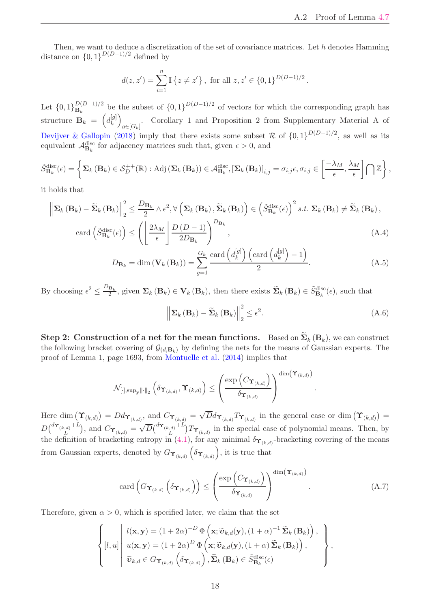<span id="page-17-3"></span>Then, we want to deduce a discretization of the set of covariance matrices. Let h denotes Hamming distance on  $\{0,1\}^{D(D-1)/2}$  defined by

$$
d(z, z') = \sum_{i=1}^{n} \mathbb{I} \{ z \neq z' \},
$$
 for all  $z, z' \in \{0, 1\}^{D(D-1)/2}$ .

Let  $\{0,1\}_{\mathbf{B}_k}^{D(D-1)/2}$  be the subset of  $\{0,1\}^{D(D-1)/2}$  of vectors for which the corresponding graph has structure  $\mathbf{B}_k = d_k^{[g]}$ k  $\overline{ }$  $g\in[G_k]$ . Corollary 1 and Proposition 2 from Supplementary Material A of [Devijver & Gallopin](#page-21-11) [\(2018](#page-21-11)) imply that there exists some subset R of  $\{0,1\}^{D(D-1)/2}$ , as well as its equivalent  $\mathcal{A}_{\mathbf{B}_k}^{\text{disc}}$  for adjacency matrices such that, given  $\epsilon > 0$ , and

$$
\tilde{S}_{\mathbf{B}_{k}}^{\text{disc}}(\epsilon) = \left\{ \mathbf{\Sigma}_{k} \left( \mathbf{B}_{k} \right) \in \mathcal{S}_{D}^{++}(\mathbb{R}) : \text{Adj}\left( \mathbf{\Sigma}_{k} \left( \mathbf{B}_{k} \right) \right) \in \mathcal{A}_{\mathbf{B}_{k}}^{\text{disc}}, \left[ \mathbf{\Sigma}_{k} \left( \mathbf{B}_{k} \right) \right]_{i,j} = \sigma_{i,j} \epsilon, \sigma_{i,j} \in \left[ \frac{-\lambda_{M}}{\epsilon}, \frac{\lambda_{M}}{\epsilon} \right] \bigcap \mathbb{Z} \right\},\
$$

it holds that

$$
\left\| \Sigma_{k} \left( \mathbf{B}_{k} \right) - \widetilde{\Sigma}_{k} \left( \mathbf{B}_{k} \right) \right\|_{2}^{2} \leq \frac{D_{\mathbf{B}_{k}}}{2} \wedge \epsilon^{2}, \forall \left( \Sigma_{k} \left( \mathbf{B}_{k} \right), \widetilde{\Sigma}_{k} \left( \mathbf{B}_{k} \right) \right) \in \left( \widetilde{S}_{\mathbf{B}_{k}}^{\text{disc}}(\epsilon) \right)^{2} s.t. \ \Sigma_{k} \left( \mathbf{B}_{k} \right) \neq \widetilde{\Sigma}_{k} \left( \mathbf{B}_{k} \right),
$$
\n
$$
\text{card} \left( \widetilde{S}_{\mathbf{B}_{k}}^{\text{disc}}(\epsilon) \right) \leq \left( \left[ \frac{2\lambda_{M}}{\epsilon} \right] \frac{D \left( D - 1 \right)}{2D_{\mathbf{B}_{k}}} \right)^{D_{\mathbf{B}_{k}}},\tag{A.4}
$$

$$
D_{\mathbf{B}_k} = \dim(\mathbf{V}_k(\mathbf{B}_k)) = \sum_{g=1}^{G_k} \frac{\text{card}\left(d_k^{[g]}\right)\left(\text{card}\left(d_k^{[g]}\right) - 1\right)}{2}.
$$
\n(A.5)

By choosing  $\epsilon^2 \leq \frac{D_{\mathbf{B}_k}}{2}$ , given  $\mathbf{\Sigma}_k(\mathbf{B}_k) \in \mathbf{V}_k(\mathbf{B}_k)$ , then there exists  $\widetilde{\mathbf{\Sigma}}_k(\mathbf{B}_k) \in \widetilde{S}_{\mathbf{B}_k}^{\text{disc}}(\epsilon)$ , such that

$$
\left\| \Sigma_{k} \left( \mathbf{B}_{k} \right) - \widetilde{\Sigma}_{k} \left( \mathbf{B}_{k} \right) \right\|_{2}^{2} \leq \epsilon^{2}.
$$
\n(A.6)

<span id="page-17-2"></span><span id="page-17-1"></span><span id="page-17-0"></span>.

**Step 2:** Construction of a net for the mean functions. Based on  $\Sigma_k(\mathbf{B}_k)$ , we can construct the following bracket covering of  $\mathcal{G}_{(d,\mathbf{B}_k)}$  by defining the nets for the means of Gaussian experts. The proof of Lemma 1, page 1693, from [Montuelle et al.](#page-23-13) [\(2014](#page-23-13)) implies that

$$
\mathcal{N}_{[\cdot],\sup_\mathbf{y}\|\cdot\|_2}\left(\delta_{\mathbf{\boldsymbol{\Upsilon}}_{(k,d)}},\mathbf{\boldsymbol{\Upsilon}}_{(k,d)}\right)\leq\left(\frac{\exp\left(C_{\mathbf{\boldsymbol{\Upsilon}}_{(k,d)}}\right)}{\delta_{\mathbf{\boldsymbol{\Upsilon}}_{(k,d)}}}\right)^{\dim\left(\mathbf{\boldsymbol{\Upsilon}}_{(k,d)}\right)}
$$

Here dim  $(\Upsilon_{(k,d)}) = D d_{\Upsilon_{(k,d)}},$  and  $C_{\Upsilon_{(k,d)}} = \sqrt{D} d_{\Upsilon_{(k,d)}} T_{\Upsilon_{(k,d)}}$  in the general case or dim  $(\Upsilon_{(k,d)}) =$  $D\big(\begin{smallmatrix} d\boldsymbol{\Upsilon}_{(k,d)}+L \ r \end{smallmatrix}$  $\left( \frac{L}{L} \right)^{(d)}$ , and  $C_{\Upsilon_{(k,d)}} = \sqrt{D} \left( \frac{d \Upsilon_{(k,d)} + L}{L} \right)$  $\int_{L}^{d} (t,x) \, dx$  in the special case of polynomial means. Then, by the definition of bracketing entropy in [\(4.1\)](#page-9-2), for any minimal  $\delta_{\Upsilon_{(k,d)}}$ -bracketing covering of the means from Gaussian experts, denoted by  $G_{\Upsilon_{(k,d)}}(\delta_{\Upsilon_{(k,d)}})$ , it is true that

$$
\operatorname{card}\left(G_{\Upsilon_{(k,d)}}\left(\delta_{\Upsilon_{(k,d)}}\right)\right) \leq \left(\frac{\exp\left(C_{\Upsilon_{(k,d)}}\right)}{\delta_{\Upsilon_{(k,d)}}}\right)^{\dim\left(\Upsilon_{(k,d)}\right)}.\tag{A.7}
$$

Therefore, given  $\alpha > 0$ , which is specified later, we claim that the set

$$
\left\{ [l, u] \middle| \begin{array}{l} l(\mathbf{x}, \mathbf{y}) = (1 + 2\alpha)^{-D} \Phi\left(\mathbf{x}; \widetilde{\mathbf{v}}_{k,d}(\mathbf{y}), (1 + \alpha)^{-1} \widetilde{\mathbf{\Sigma}}_{k} (\mathbf{B}_{k})\right), \\ u(\mathbf{x}, \mathbf{y}) = (1 + 2\alpha)^{D} \Phi\left(\mathbf{x}; \widetilde{\mathbf{v}}_{k,d}(\mathbf{y}), (1 + \alpha) \widetilde{\mathbf{\Sigma}}_{k} (\mathbf{B}_{k})\right), \\ \widetilde{\mathbf{v}}_{k,d} \in G_{\Upsilon_{(k,d)}}\left(\delta_{\Upsilon_{(k,d)}}\right), \widetilde{\mathbf{\Sigma}}_{k} (\mathbf{B}_{k}) \in \widetilde{S}_{\mathbf{B}_{k}}^{\text{disc}}(\epsilon) \end{array} \right\},
$$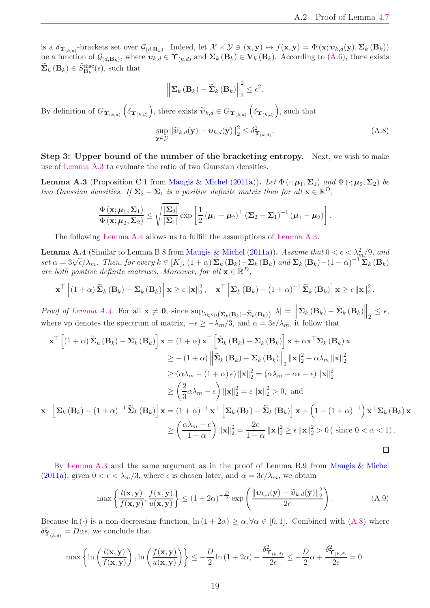<span id="page-18-4"></span>is a  $\delta_{\Upsilon_{(k,d)}}$ -brackets set over  $\mathcal{G}_{(d,\mathbf{B}_k)}$ . Indeed, let  $\mathcal{X} \times \mathcal{Y} \ni (\mathbf{x}, \mathbf{y}) \mapsto f(\mathbf{x}, \mathbf{y}) = \Phi(\mathbf{x}; \upsilon_{k,d}(\mathbf{y}), \Sigma_k(\mathbf{B}_k))$ be a function of  $\mathcal{G}_{(d,\mathbf{B}_k)}$ , where  $v_{k,d} \in \Upsilon_{(k,d)}$  and  $\Sigma_k(\mathbf{B}_k) \in \mathbf{V}_k(\mathbf{B}_k)$ . According to  $(A.6)$ , there exists  $\widetilde{\Sigma}_k(\mathbf{B}_k) \in \widetilde{S}_{\mathbf{B}_k}^{\text{disc}}(\epsilon)$ , such that

<span id="page-18-2"></span>
$$
\left\|\mathbf{\Sigma}_{k}\left(\mathbf{B}_{k}\right)-\widetilde{\mathbf{\Sigma}}_{k}\left(\mathbf{B}_{k}\right)\right\|_{2}^{2} \leq \epsilon^{2}.
$$

By definition of  $G_{\Upsilon_{(k,d)}}\left(\delta_{\Upsilon_{(k,d)}}\right)$ , there exists  $\widetilde{\boldsymbol{v}}_{k,d} \in G_{\Upsilon_{(k,d)}}\left(\delta_{\Upsilon_{(k,d)}}\right)$ , such that

$$
\sup_{\mathbf{y}\in\mathcal{Y}}\|\widetilde{\boldsymbol{v}}_{k,d}(\mathbf{y})-\boldsymbol{v}_{k,d}(\mathbf{y})\|_2^2 \leq \delta_{\Upsilon_{(k,d)}}^2.
$$
\n(A.8)

<span id="page-18-0"></span>Step 3: Upper bound of the number of the bracketing entropy. Next, we wish to make use of [Lemma A.3](#page-18-0) to evaluate the ratio of two Gaussian densities.

**Lemma A.3** (Proposition C.1 from [Maugis & Michel](#page-22-14) [\(2011a](#page-22-14))). Let  $\Phi(\cdot;\mu_1,\Sigma_1)$  and  $\Phi(\cdot;\mu_2,\Sigma_2)$  be *two Gaussian densities.* If  $\Sigma_2 - \Sigma_1$  *is a positive definite matrix then for all*  $\mathbf{x} \in \mathbb{R}^D$ ,

$$
\frac{\Phi\left(\mathbf{x};\boldsymbol{\mu}_1, \boldsymbol{\Sigma}_1\right)}{\Phi\left(\mathbf{x};\boldsymbol{\mu}_2, \boldsymbol{\Sigma}_2\right)} \leq \sqrt{\frac{|\boldsymbol{\Sigma}_2|}{|\boldsymbol{\Sigma}_1|}} \exp\left[\frac{1}{2}\left(\boldsymbol{\mu}_1-\boldsymbol{\mu}_2\right)^\top\left(\boldsymbol{\Sigma}_2-\boldsymbol{\Sigma}_1\right)^{-1}\left(\boldsymbol{\mu}_1-\boldsymbol{\mu}_2\right)\right].
$$

<span id="page-18-1"></span>The following [Lemma A.4](#page-18-1) allows us to fulfill the assumptions of [Lemma A.3.](#page-18-0)

**Lemma A.4** (Similar to Lemma B.8 from [Maugis & Michel](#page-22-14) [\(2011a](#page-22-14))). *Assume that*  $0 < \epsilon < \lambda_m^2/9$ , and  $set \alpha = 3\sqrt{\epsilon}/\lambda_m$ . Then, for every  $k \in [K]$ ,  $(1 + \alpha) \widetilde{\Sigma}_k (\mathbf{B}_k) - \Sigma_k (\mathbf{B}_k)$  and  $\Sigma_k (\mathbf{B}_k) - (1 + \alpha)^{-1} \widetilde{\Sigma}_k (\mathbf{B}_k)$ *are both positive definite matrices. Moreover, for all*  $\mathbf{x} \in \mathbb{R}^D$ ,

$$
\mathbf{x}^{\top}\left[\left(1+\alpha\right)\widetilde{\mathbf{\Sigma}}_{k}\left(\mathbf{B}_{k}\right)-\mathbf{\Sigma}_{k}\left(\mathbf{B}_{k}\right)\right]\mathbf{x} \geq \epsilon \left\|\mathbf{x}\right\|_{2}^{2}, \quad \mathbf{x}^{\top}\left[\mathbf{\Sigma}_{k}\left(\mathbf{B}_{k}\right)-\left(1+\alpha\right)^{-1}\widetilde{\mathbf{\Sigma}}_{k}\left(\mathbf{B}_{k}\right)\right]\mathbf{x} \geq \epsilon \left\|\mathbf{x}\right\|_{2}^{2}.
$$

*Proof of [Lemma A.4.](#page-18-1)* For all  $\mathbf{x} \neq \mathbf{0}$ , since  $\sup_{\lambda \in \text{vp}(\mathbf{\Sigma}_k(\mathbf{B}_k) - \widetilde{\mathbf{\Sigma}}_k(\mathbf{B}_k))} |\lambda| = \left\| \mathbf{\Sigma}_k(\mathbf{B}_k) - \widetilde{\mathbf{\Sigma}}_k(\mathbf{B}_k) \right\|_2 \leq \epsilon$ , where vp denotes the spectrum of matrix,  $-\epsilon \geq -\lambda_m/3$ , and  $\alpha = 3\epsilon/\lambda_m$ , it follow that

$$
\mathbf{x}^{\top} \left[ (1+\alpha) \widetilde{\mathbf{\Sigma}}_{k} \left( \mathbf{B}_{k} \right) - \mathbf{\Sigma}_{k} \left( \mathbf{B}_{k} \right) \right] \mathbf{x} = (1+\alpha) \mathbf{x}^{\top} \left[ \widetilde{\mathbf{\Sigma}}_{k} \left( \mathbf{B}_{k} \right) - \mathbf{\Sigma}_{k} \left( \mathbf{B}_{k} \right) \right] \mathbf{x} + \alpha \mathbf{x}^{\top} \mathbf{\Sigma}_{k} \left( \mathbf{B}_{k} \right) \mathbf{x} \n\geq -(1+\alpha) \left\| \widetilde{\mathbf{\Sigma}}_{k} \left( \mathbf{B}_{k} \right) - \mathbf{\Sigma}_{k} \left( \mathbf{B}_{k} \right) \right\|_{2} \left\| \mathbf{x} \right\|_{2}^{2} + \alpha \lambda_{m} \left\| \mathbf{x} \right\|_{2}^{2} \n\geq (\alpha \lambda_{m} - (1+\alpha)\epsilon) \left\| \mathbf{x} \right\|_{2}^{2} = (\alpha \lambda_{m} - \alpha\epsilon - \epsilon) \left\| \mathbf{x} \right\|_{2}^{2} \n\geq \left( \frac{2}{3} \alpha \lambda_{m} - \epsilon \right) \left\| \mathbf{x} \right\|_{2}^{2} = \epsilon \left\| \mathbf{x} \right\|_{2}^{2} > 0, \text{ and} \n\mathbf{x}^{\top} \left[ \mathbf{\Sigma}_{k} \left( \mathbf{B}_{k} \right) - (1+\alpha)^{-1} \widetilde{\mathbf{\Sigma}}_{k} \left( \mathbf{B}_{k} \right) \right] \mathbf{x} = (1+\alpha)^{-1} \mathbf{x}^{\top} \left[ \mathbf{\Sigma}_{k} \left( \mathbf{B}_{k} \right) - \widetilde{\mathbf{\Sigma}}_{k} \left( \mathbf{B}_{k} \right) \right] \mathbf{x} + \left( 1 - (1+\alpha)^{-1} \right) \mathbf{x}^{\top} \mathbf{\Sigma}_{k} \left( \mathbf{B}_{k} \right) \mathbf{x} \right. \n\geq \left( \frac{\alpha \lambda_{m} - \epsilon}{1 + \alpha} \right) \left\| \mathbf{x} \right\|_{2}^{2} = \frac{2\epsilon}{1 + \alpha} \left\| \mathbf{x} \right\|
$$

By [Lemma A.3](#page-18-0) and the same argument as in the proof of Lemma B.9 from [Maugis & Michel](#page-22-14) [\(2011a](#page-22-14)), given  $0 < \epsilon < \lambda_m/3$ , where  $\epsilon$  is chosen later, and  $\alpha = 3\epsilon/\lambda_m$ , we obtain

<span id="page-18-3"></span>
$$
\max\left\{\frac{l(\mathbf{x}, \mathbf{y})}{f(\mathbf{x}, \mathbf{y})}, \frac{f(\mathbf{x}, \mathbf{y})}{u(\mathbf{x}, \mathbf{y})}\right\} \le (1 + 2\alpha)^{-\frac{D}{2}} \exp\left(\frac{\|\boldsymbol{v}_{k,d}(\mathbf{y}) - \widetilde{\boldsymbol{v}}_{k,d}(\mathbf{y})\|_2^2}{2\epsilon}\right).
$$
 (A.9)

Because ln (·) is a non-decreasing function,  $\ln(1+2\alpha) \ge \alpha, \forall \alpha \in [0,1]$ . Combined with  $(A.8)$  where  $\delta^2_{\Upsilon_{(k,d)}} = D\alpha\epsilon$ , we conclude that

$$
\max\left\{\ln\left(\frac{l(\mathbf{x}, \mathbf{y})}{f(\mathbf{x}, \mathbf{y})}\right), \ln\left(\frac{f(\mathbf{x}, \mathbf{y})}{u(\mathbf{x}, \mathbf{y})}\right)\right\} \leq -\frac{D}{2}\ln\left(1+2\alpha\right) + \frac{\delta_{\Upsilon_{(k,d)}}^2}{2\epsilon} \leq -\frac{D}{2}\alpha + \frac{\delta_{\Upsilon_{(k,d)}}^2}{2\epsilon} = 0.
$$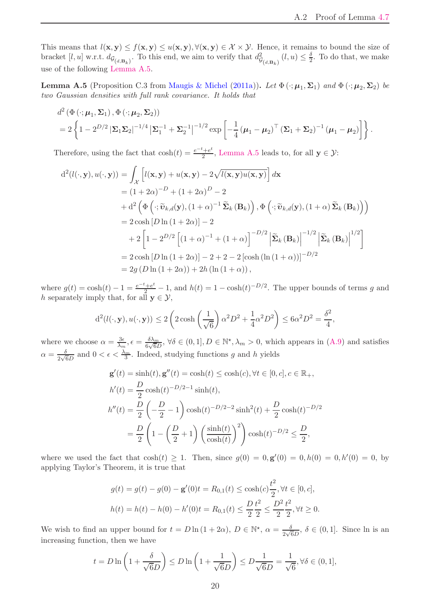<span id="page-19-1"></span>This means that  $l(x, y) \leq f(x, y) \leq u(x, y), \forall (x, y) \in \mathcal{X} \times \mathcal{Y}$ . Hence, it remains to bound the size of bracket [l, u] w.r.t.  $d_{\mathcal{G}_{(d,\mathbf{B}_k)}}$ . To this end, we aim to verify that  $d_{\mathcal{G}}^2$  $\mathcal{G}_{(d,\mathbf{B}_k)}(l,u) \leq \frac{\delta}{2}$  $\frac{0}{2}$ . To do that, we make use of the following [Lemma A.5.](#page-19-0)

<span id="page-19-0"></span>**Lemma A.5** (Proposition C.3 from [Maugis & Michel](#page-22-14) [\(2011a](#page-22-14))). Let  $\Phi(\cdot;\mu_1,\Sigma_1)$  and  $\Phi(\cdot;\mu_2,\Sigma_2)$  be *two Gaussian densities with full rank covariance. It holds that*

$$
d^{2} (\Phi(\cdot; \mu_{1}, \Sigma_{1}), \Phi(\cdot; \mu_{2}, \Sigma_{2}))
$$
  
=  $2 \left\{ 1 - 2^{D/2} |\Sigma_{1} \Sigma_{2}|^{-1/4} |\Sigma_{1}^{-1} + \Sigma_{2}^{-1}|^{-1/2} \exp \left[ -\frac{1}{4} (\mu_{1} - \mu_{2})^{T} (\Sigma_{1} + \Sigma_{2})^{-1} (\mu_{1} - \mu_{2}) \right] \right\}.$ 

Therefore, using the fact that  $\cosh(t) = \frac{e^{-t} + e^{t}}{2}$  $\frac{a^2 + e^2}{2}$ , [Lemma A.5](#page-19-0) leads to, for all  $y \in \mathcal{Y}$ :

$$
d^{2}(l(\cdot, \mathbf{y}), u(\cdot, \mathbf{y})) = \int_{\mathcal{X}} \left[ l(\mathbf{x}, \mathbf{y}) + u(\mathbf{x}, \mathbf{y}) - 2\sqrt{l(\mathbf{x}, \mathbf{y})u(\mathbf{x}, \mathbf{y})} \right] d\mathbf{x}
$$
  
\n
$$
= (1 + 2\alpha)^{-D} + (1 + 2\alpha)^{D} - 2
$$
  
\n
$$
+ d^{2} \left( \Phi \left( \cdot; \tilde{\mathbf{v}}_{k,d}(\mathbf{y}), (1 + \alpha)^{-1} \tilde{\Sigma}_{k}(\mathbf{B}_{k}) \right), \Phi \left( \cdot; \tilde{\mathbf{v}}_{k,d}(\mathbf{y}), (1 + \alpha) \tilde{\Sigma}_{k}(\mathbf{B}_{k}) \right) \right)
$$
  
\n
$$
= 2 \cosh [D \ln (1 + 2\alpha)] - 2
$$
  
\n
$$
+ 2 \left[ 1 - 2^{D/2} \left[ (1 + \alpha)^{-1} + (1 + \alpha) \right]^{-D/2} \left| \tilde{\Sigma}_{k}(\mathbf{B}_{k}) \right|^{-1/2} \left| \tilde{\Sigma}_{k}(\mathbf{B}_{k}) \right|^{1/2} \right]
$$
  
\n
$$
= 2 \cosh [D \ln (1 + 2\alpha)] - 2 + 2 - 2 [\cosh ( \ln (1 + \alpha))]^{-D/2}
$$
  
\n
$$
= 2g (D \ln (1 + 2\alpha)) + 2h (\ln (1 + \alpha)),
$$

where  $g(t) = \cosh(t) - 1 = \frac{e^{-t} + e^{t}}{2} - 1$ , and  $h(t) = 1 - \cosh(t)^{-D/2}$ . The upper bounds of terms g and h separately imply that, for all  $y \in \mathcal{Y}$ ,

$$
d^2(l(\cdot, \mathbf{y}), u(\cdot, \mathbf{y})) \le 2\left(2\cosh\left(\frac{1}{\sqrt{6}}\right)\alpha^2 D^2 + \frac{1}{4}\alpha^2 D^2\right) \le 6\alpha^2 D^2 = \frac{\delta^2}{4},
$$

where we choose  $\alpha = \frac{3\epsilon}{\lambda}$  $\frac{3\epsilon}{\lambda_m}, \epsilon = \frac{\delta \lambda_m}{6\sqrt{6}L}$  $\frac{\delta \lambda_m}{6\sqrt{6}D}$ ,  $\forall \delta \in (0,1], D \in \mathbb{N}^*, \lambda_m > 0$ , which appears in  $(A.9)$  and satisfies  $\alpha = \frac{\delta}{\alpha \sqrt{a}}$  $\frac{\delta}{2\sqrt{6}D}$  and  $0 < \epsilon < \frac{\lambda_m}{3}$ . Indeed, studying functions g and h yields

$$
\mathbf{g}'(t) = \sinh(t), \mathbf{g}''(t) = \cosh(t) \le \cosh(c), \forall t \in [0, c], c \in \mathbb{R}_+,
$$
  
\n
$$
h'(t) = \frac{D}{2} \cosh(t)^{-D/2-1} \sinh(t),
$$
  
\n
$$
h''(t) = \frac{D}{2} \left( -\frac{D}{2} - 1 \right) \cosh(t)^{-D/2-2} \sinh^2(t) + \frac{D}{2} \cosh(t)^{-D/2}
$$
  
\n
$$
= \frac{D}{2} \left( 1 - \left( \frac{D}{2} + 1 \right) \left( \frac{\sinh(t)}{\cosh(t)} \right)^2 \right) \cosh(t)^{-D/2} \le \frac{D}{2},
$$

where we used the fact that  $cosh(t) \ge 1$ . Then, since  $g(0) = 0, g'(0) = 0, h(0) = 0, h'(0) = 0$ , by applying Taylor's Theorem, it is true that

$$
g(t) = g(t) - g(0) - \mathbf{g}'(0)t = R_{0,1}(t) \le \cosh(c)\frac{t^2}{2}, \forall t \in [0, c],
$$
  

$$
h(t) = h(t) - h(0) - h'(0)t = R_{0,1}(t) \le \frac{D}{2}\frac{t^2}{2} \le \frac{D^2}{2}\frac{t^2}{2}, \forall t \ge 0.
$$

We wish to find an upper bound for  $t = D \ln(1 + 2\alpha)$ ,  $D \in \mathbb{N}^*$ ,  $\alpha = \frac{\delta}{2\sqrt{6}D}$ ,  $\delta \in (0, 1]$ . Since ln is an increasing function, then we have

$$
t = D \ln \left( 1 + \frac{\delta}{\sqrt{6}D} \right) \le D \ln \left( 1 + \frac{1}{\sqrt{6}D} \right) \le D \frac{1}{\sqrt{6}D} = \frac{1}{\sqrt{6}}, \forall \delta \in (0, 1],
$$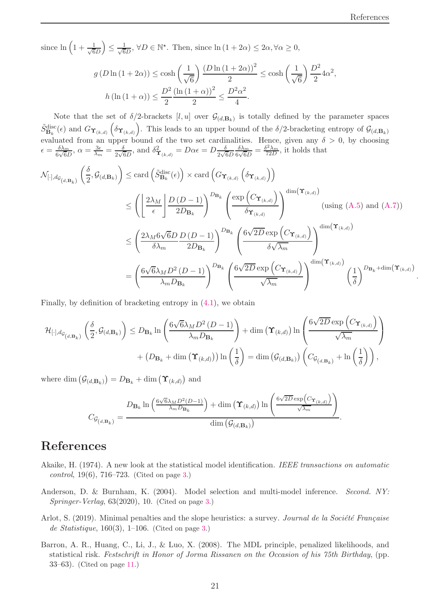.

since  $\ln\left(1+\frac{1}{\sqrt{6}}\right)$ 6D  $\setminus$  $\leq \frac{1}{\sqrt{6}}$  $\frac{1}{6D}$ ,  $\forall D \in \mathbb{N}^*$ . Then, since  $\ln(1 + 2\alpha) \leq 2\alpha, \forall \alpha \geq 0$ ,

$$
g(D\ln(1+2\alpha)) \le \cosh\left(\frac{1}{\sqrt{6}}\right) \frac{(D\ln(1+2\alpha))^2}{2} \le \cosh\left(\frac{1}{\sqrt{6}}\right) \frac{D^2}{2} 4\alpha^2,
$$
  

$$
h(\ln(1+\alpha)) \le \frac{D^2}{2} \frac{(\ln(1+\alpha))^2}{2} \le \frac{D^2\alpha^2}{4}.
$$

Note that the set of  $\delta/2$ -brackets  $[l, u]$  over  $\mathcal{G}_{(d, \mathbf{B}_k)}$  is totally defined by the parameter spaces  $\tilde{S}_{\mathbf{B}_k}^{\text{disc}}(\epsilon)$  and  $G_{\Upsilon_{(k,d)}}\left(\delta_{\Upsilon_{(k,d)}}\right)$ . This leads to an upper bound of the  $\delta/2$ -bracketing entropy of  $\mathcal{G}_{(d,\mathbf{B}_k)}$ evaluated from an upper bound of the two set cardinalities. Hence, given any  $\delta > 0$ , by choosing  $\epsilon = \frac{\delta \lambda_m}{\epsilon \sqrt{\epsilon}}$  $\frac{\delta \lambda_m}{6\sqrt{6}D}$ ,  $\alpha = \frac{3\epsilon}{\lambda_m}$  $\frac{3\epsilon}{\lambda_m} = \frac{\delta}{2\sqrt{\epsilon}}$  $\frac{\delta}{2\sqrt{6}D}$ , and  $\delta^{2}_{\Upsilon(k,d)} = D\alpha\epsilon = D\frac{\delta}{2\sqrt{6}D}$  $\delta\lambda_m$  $\frac{\delta \lambda_m}{6\sqrt{6}D} = \frac{\delta^2 \lambda_m}{72D}$ , it holds that

$$
\mathcal{N}_{[\cdot],d_{\mathcal{G}_{(d,\mathbf{B}_k)}}\left(\frac{\delta}{2},\mathcal{G}_{(d,\mathbf{B}_k)}\right) \leq \text{card}\left(\tilde{S}_{\mathbf{B}_k}^{\text{disc}}(\epsilon)\right) \times \text{card}\left(G_{\Upsilon_{(k,d)}}\left(\delta_{\Upsilon_{(k,d)}}\right)\right)
$$
\n
$$
\leq \left(\left\lfloor\frac{2\lambda_M}{\epsilon}\right\rfloor \frac{D\left(D-1\right)}{2D_{\mathbf{B}_k}}\right)^{D_{\mathbf{B}_k}} \left(\frac{\exp\left(C_{\Upsilon_{(k,d)}}\right)}{\delta_{\Upsilon_{(k,d)}}}\right)^{\dim(\Upsilon_{(k,d)})} \quad \text{(using (A.5) and (A.7))}
$$
\n
$$
\leq \left(\frac{2\lambda_M 6\sqrt{6}D}{\delta \lambda_m} \frac{D\left(D-1\right)}{2D_{\mathbf{B}_k}}\right)^{D_{\mathbf{B}_k}} \left(\frac{6\sqrt{2D}\exp\left(C_{\Upsilon_{(k,d)}}\right)}{\delta \sqrt{\lambda_m}}\right)^{\dim(\Upsilon_{(k,d)})}
$$
\n
$$
= \left(\frac{6\sqrt{6}\lambda_M D^2\left(D-1\right)}{\lambda_m D_{\mathbf{B}_k}}\right)^{D_{\mathbf{B}_k}} \left(\frac{6\sqrt{2D}\exp\left(C_{\Upsilon_{(k,d)}}\right)}{\sqrt{\lambda_m}}\right)^{\dim(\Upsilon_{(k,d)})} \left(\frac{1}{\delta}\right)^{D_{\mathbf{B}_k} + \dim(\Upsilon_{(k,d)})}
$$

Finally, by definition of bracketing entropy in [\(4.1\)](#page-9-2), we obtain

$$
\mathcal{H}_{[\cdot],d_{\mathcal{G}_{(d,\mathbf{B}_k)}}\left(\frac{\delta}{2},\mathcal{G}_{(d,\mathbf{B}_k)}\right) \leq D_{\mathbf{B}_k} \ln\left(\frac{6\sqrt{6}\lambda_M D^2 (D-1)}{\lambda_m D_{\mathbf{B}_k}}\right) + \dim\left(\Upsilon_{(k,d)}\right) \ln\left(\frac{6\sqrt{2D}\exp\left(C_{\Upsilon_{(k,d)}}\right)}{\sqrt{\lambda_m}}\right) + (D_{\mathbf{B}_k} + \dim\left(\Upsilon_{(k,d)}\right)) \ln\left(\frac{1}{\delta}\right) = \dim\left(\mathcal{G}_{(d,\mathbf{B}_k)}\right) \left(C_{\mathcal{G}_{(d,\mathbf{B}_k)}} + \ln\left(\frac{1}{\delta}\right)\right),
$$

where  $\dim (\mathcal{G}_{(d,\mathbf{B}_k)}) = D_{\mathbf{B}_k} + \dim (\Upsilon_{(k,d)})$  and

$$
C_{\mathcal{G}_{(d,\mathbf{B}_k)}} = \frac{D_{\mathbf{B}_k} \ln \left( \frac{6\sqrt{6}\lambda_M D^2(D-1)}{\lambda_m D_{\mathbf{B}_k}} \right) + \dim \left( \Upsilon_{(k,d)} \right) \ln \left( \frac{6\sqrt{2D} \exp \left( C_{\Upsilon_{(k,d)}} \right)}{\sqrt{\lambda_m}} \right)}{\dim \left( \mathcal{G}_{(d,\mathbf{B}_k)} \right)}.
$$

## References

- <span id="page-20-0"></span>Akaike, H. (1974). A new look at the statistical model identification. *IEEE transactions on automatic control*, 19(6), 716–723. (Cited on page [3.](#page-2-0))
- <span id="page-20-1"></span>Anderson, D. & Burnham, K. (2004). Model selection and multi-model inference. *Second. NY: Springer-Verlag*, 63(2020), 10. (Cited on page [3.](#page-2-0))
- <span id="page-20-2"></span>Arlot, S. (2019). Minimal penalties and the slope heuristics: a survey. *Journal de la Société Française de Statistique*, 160(3), 1–106. (Cited on page [3.](#page-2-0))
- <span id="page-20-3"></span>Barron, A. R., Huang, C., Li, J., & Luo, X. (2008). The MDL principle, penalized likelihoods, and statistical risk. *Festschrift in Honor of Jorma Rissanen on the Occasion of his 75th Birthday*, (pp. 33–63). (Cited on page [11.](#page-10-4))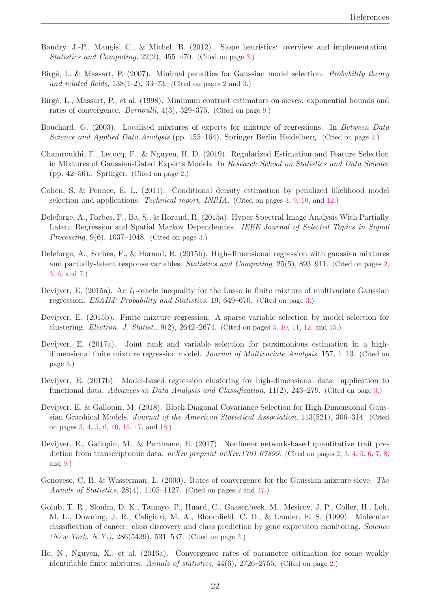- <span id="page-21-9"></span>Baudry, J.-P., Maugis, C., & Michel, B. (2012). Slope heuristics: overview and implementation. *Statistics and Computing*, 22(2), 455–470. (Cited on page [3.](#page-2-0))
- <span id="page-21-2"></span>Birg´e, L. & Massart, P. (2007). Minimal penalties for Gaussian model selection. *Probability theory and related fields*, 138(1-2), 33–73. (Cited on pages [2](#page-1-1) and [3.](#page-2-0))
- <span id="page-21-16"></span>Birg´e, L., Massart, P., et al. (1998). Minimum contrast estimators on sieves: exponential bounds and rates of convergence. *Bernoulli*, 4(3), 329–375. (Cited on page [9.](#page-8-2))
- <span id="page-21-3"></span>Bouchard, G. (2003). Localised mixtures of experts for mixture of regressions. In *Between Data Science and Applied Data Analysis* (pp. 155–164). Springer Berlin Heidelberg. (Cited on page [2.](#page-1-1))
- <span id="page-21-5"></span>Chamroukhi, F., Lecocq, F., & Nguyen, H. D. (2019). Regularized Estimation and Feature Selection in Mixtures of Gaussian-Gated Experts Models. In *Research School on Statistics and Data Science* (pp. 42–56).: Springer. (Cited on page [2.](#page-1-1))
- <span id="page-21-10"></span>Cohen, S. & Pennec, E. L. (2011). Conditional density estimation by penalized likelihood model selection and applications. *Technical report, INRIA*. (Cited on pages [3,](#page-2-0) [9,](#page-8-2) [10,](#page-9-4) and [12.](#page-11-4))
- <span id="page-21-7"></span>Deleforge, A., Forbes, F., Ba, S., & Horaud, R. (2015a). Hyper-Spectral Image Analysis With Partially Latent Regression and Spatial Markov Dependencies. *IEEE Journal of Selected Topics in Signal Processing*, 9(6), 1037–1048. (Cited on page [3.](#page-2-0))
- <span id="page-21-4"></span>Deleforge, A., Forbes, F., & Horaud, R. (2015b). High-dimensional regression with gaussian mixtures and partially-latent response variables. *Statistics and Computing*, 25(5), 893–911. (Cited on pages [2,](#page-1-1) [3,](#page-2-0) [6,](#page-5-1) and [7.](#page-6-4))
- <span id="page-21-12"></span>Devijver, E. (2015a). An  $l_1$ -oracle inequality for the Lasso in finite mixture of multivariate Gaussian regression. *ESAIM: Probability and Statistics*, 19, 649–670. (Cited on page [3.](#page-2-0))
- <span id="page-21-13"></span>Devijver, E. (2015b). Finite mixture regression: A sparse variable selection by model selection for clustering. *Electron. J. Statist.*, 9(2), 2642–2674. (Cited on pages [3,](#page-2-0) [10,](#page-9-4) [11,](#page-10-4) [12,](#page-11-4) and [15.](#page-14-3))
- <span id="page-21-15"></span>Devijver, E. (2017a). Joint rank and variable selection for parsimonious estimation in a highdimensional finite mixture regression model. *Journal of Multivariate Analysis*, 157, 1–13. (Cited on page [3.](#page-2-0))
- <span id="page-21-14"></span>Devijver, E. (2017b). Model-based regression clustering for high-dimensional data: application to functional data. *Advances in Data Analysis and Classification*, 11(2), 243–279. (Cited on page [3.](#page-2-0))
- <span id="page-21-11"></span>Devijver, E. & Gallopin, M. (2018). Block-Diagonal Covariance Selection for High-Dimensional Gaussian Graphical Models. *Journal of the American Statistical Association*, 113(521), 306–314. (Cited on pages [3,](#page-2-0) [4,](#page-3-3) [5,](#page-4-3) [6,](#page-5-1) [10,](#page-9-4) [15,](#page-14-3) [17,](#page-16-2) and [18.](#page-17-3))
- <span id="page-21-6"></span>Devijver, E., Gallopin, M., & Perthame, E. (2017). Nonlinear network-based quantitative trait prediction from transcriptomic data. *arXiv preprint arXiv:1701.07899*. (Cited on pages [2,](#page-1-1) [3,](#page-2-0) [4,](#page-3-3) [5,](#page-4-3) [6,](#page-5-1) [7,](#page-6-4) [8,](#page-7-4) and [9.](#page-8-2))
- <span id="page-21-0"></span>Genovese, C. R. & Wasserman, L. (2000). Rates of convergence for the Gaussian mixture sieve. *The Annals of Statistics*, 28(4), 1105–1127. (Cited on pages [2](#page-1-1) and [17.](#page-16-2))
- <span id="page-21-8"></span>Golub, T. R., Slonim, D. K., Tamayo, P., Huard, C., Gaasenbeek, M., Mesirov, J. P., Coller, H., Loh, M. L., Downing, J. R., Caligiuri, M. A., Bloomfield, C. D., & Lander, E. S. (1999). Molecular classification of cancer: class discovery and class prediction by gene expression monitoring. *Science (New York, N.Y.)*, 286(5439), 531–537. (Cited on page [3.](#page-2-0))
- <span id="page-21-1"></span>Ho, N., Nguyen, X., et al. (2016a). Convergence rates of parameter estimation for some weakly identifiable finite mixtures. *Annals of statistics*, 44(6), 2726–2755. (Cited on page [2.](#page-1-1))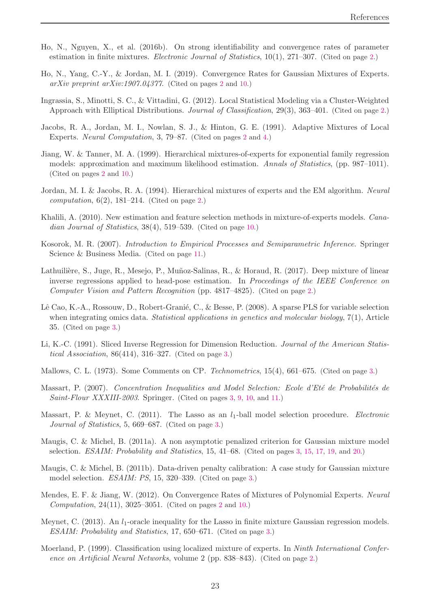- <span id="page-22-2"></span>Ho, N., Nguyen, X., et al. (2016b). On strong identifiability and convergence rates of parameter estimation in finite mixtures. *Electronic Journal of Statistics*, 10(1), 271–307. (Cited on page [2.](#page-1-1))
- <span id="page-22-5"></span>Ho, N., Yang, C.-Y., & Jordan, M. I. (2019). Convergence Rates for Gaussian Mixtures of Experts. *arXiv preprint arXiv:1907.04377*. (Cited on pages [2](#page-1-1) and [10.](#page-9-4))
- <span id="page-22-7"></span>Ingrassia, S., Minotti, S. C., & Vittadini, G. (2012). Local Statistical Modeling via a Cluster-Weighted Approach with Elliptical Distributions. *Journal of Classification*, 29(3), 363–401. (Cited on page [2.](#page-1-1))
- <span id="page-22-0"></span>Jacobs, R. A., Jordan, M. I., Nowlan, S. J., & Hinton, G. E. (1991). Adaptive Mixtures of Local Experts. *Neural Computation*, 3, 79–87. (Cited on pages [2](#page-1-1) and [4.](#page-3-3))
- <span id="page-22-3"></span>Jiang, W. & Tanner, M. A. (1999). Hierarchical mixtures-of-experts for exponential family regression models: approximation and maximum likelihood estimation. *Annals of Statistics*, (pp. 987–1011). (Cited on pages [2](#page-1-1) and [10.](#page-9-4))
- <span id="page-22-1"></span>Jordan, M. I. & Jacobs, R. A. (1994). Hierarchical mixtures of experts and the EM algorithm. *Neural computation*, 6(2), 181–214. (Cited on page [2.](#page-1-1))
- <span id="page-22-17"></span>Khalili, A. (2010). New estimation and feature selection methods in mixture-of-experts models. *Canadian Journal of Statistics*, 38(4), 519–539. (Cited on page [10.](#page-9-4))
- <span id="page-22-18"></span>Kosorok, M. R. (2007). *Introduction to Empirical Processes and Semiparametric Inference*. Springer Science & Business Media. (Cited on page [11.](#page-10-4))
- <span id="page-22-8"></span>Lathuilière, S., Juge, R., Mesejo, P., Muñoz-Salinas, R., & Horaud, R. (2017). Deep mixture of linear inverse regressions applied to head-pose estimation. In *Proceedings of the IEEE Conference on Computer Vision and Pattern Recognition* (pp. 4817–4825). (Cited on page [2.](#page-1-1))
- <span id="page-22-10"></span>Lê Cao, K.-A., Rossouw, D., Robert-Granié, C., & Besse, P. (2008). A sparse PLS for variable selection when integrating omics data. *Statistical applications in genetics and molecular biology*, 7(1), Article 35. (Cited on page [3.](#page-2-0))
- <span id="page-22-9"></span>Li, K.-C. (1991). Sliced Inverse Regression for Dimension Reduction. *Journal of the American Statistical Association*, 86(414), 316–327. (Cited on page [3.](#page-2-0))
- <span id="page-22-11"></span>Mallows, C. L. (1973). Some Comments on CP. *Technometrics*, 15(4), 661–675. (Cited on page [3.](#page-2-0))
- <span id="page-22-12"></span>Massart, P. (2007). *Concentration Inequalities and Model Selection: Ecole d'Eté de Probabilités de Saint-Flour XXXIII-2003*. Springer. (Cited on pages [3,](#page-2-0) [9,](#page-8-2) [10,](#page-9-4) and [11.](#page-10-4))
- <span id="page-22-13"></span>Massart, P. & Meynet, C. (2011). The Lasso as an  $l_1$ -ball model selection procedure. *Electronic Journal of Statistics*, 5, 669–687. (Cited on page [3.](#page-2-0))
- <span id="page-22-14"></span>Maugis, C. & Michel, B. (2011a). A non asymptotic penalized criterion for Gaussian mixture model selection. *ESAIM: Probability and Statistics*, 15, 41–68. (Cited on pages [3,](#page-2-0) [15,](#page-14-3) [17,](#page-16-2) [19,](#page-18-4) and [20.](#page-19-1))
- <span id="page-22-15"></span>Maugis, C. & Michel, B. (2011b). Data-driven penalty calibration: A case study for Gaussian mixture model selection. *ESAIM: PS*, 15, 320–339. (Cited on page [3.](#page-2-0))
- <span id="page-22-4"></span>Mendes, E. F. & Jiang, W. (2012). On Convergence Rates of Mixtures of Polynomial Experts. *Neural Computation*, 24(11), 3025–3051. (Cited on pages [2](#page-1-1) and [10.](#page-9-4))
- <span id="page-22-16"></span>Meynet, C. (2013). An  $l_1$ -oracle inequality for the Lasso in finite mixture Gaussian regression models. *ESAIM: Probability and Statistics*, 17, 650–671. (Cited on page [3.](#page-2-0))
- <span id="page-22-6"></span>Moerland, P. (1999). Classification using localized mixture of experts. In *Ninth International Conference on Artificial Neural Networks*, volume 2 (pp. 838–843). (Cited on page [2.](#page-1-1))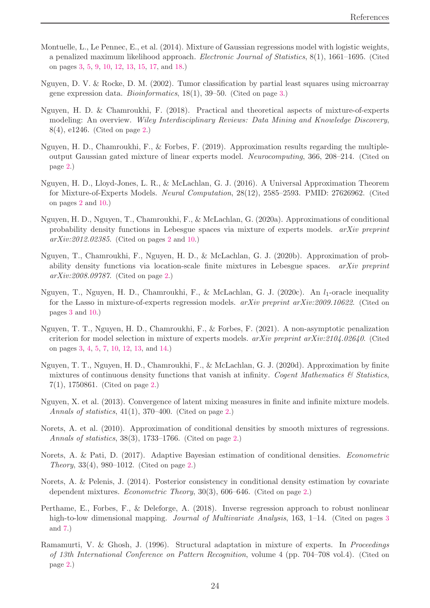- <span id="page-23-13"></span>Montuelle, L., Le Pennec, E., et al. (2014). Mixture of Gaussian regressions model with logistic weights, a penalized maximum likelihood approach. *Electronic Journal of Statistics*, 8(1), 1661–1695. (Cited on pages [3,](#page-2-0) [5,](#page-4-3) [9,](#page-8-2) [10,](#page-9-4) [12,](#page-11-4) [13,](#page-12-5) [15,](#page-14-3) [17,](#page-16-2) and [18.](#page-17-3))
- <span id="page-23-12"></span>Nguyen, D. V. & Rocke, D. M. (2002). Tumor classification by partial least squares using microarray gene expression data. *Bioinformatics*, 18(1), 39–50. (Cited on page [3.](#page-2-0))
- <span id="page-23-7"></span>Nguyen, H. D. & Chamroukhi, F. (2018). Practical and theoretical aspects of mixture-of-experts modeling: An overview. *Wiley Interdisciplinary Reviews: Data Mining and Knowledge Discovery*, 8(4), e1246. (Cited on page [2.](#page-1-1))
- <span id="page-23-5"></span>Nguyen, H. D., Chamroukhi, F., & Forbes, F. (2019). Approximation results regarding the multipleoutput Gaussian gated mixture of linear experts model. *Neurocomputing*, 366, 208–214. (Cited on page [2.](#page-1-1))
- <span id="page-23-4"></span>Nguyen, H. D., Lloyd-Jones, L. R., & McLachlan, G. J. (2016). A Universal Approximation Theorem for Mixture-of-Experts Models. *Neural Computation*, 28(12), 2585–2593. PMID: 27626962. (Cited on pages [2](#page-1-1) and [10.](#page-9-4))
- <span id="page-23-6"></span>Nguyen, H. D., Nguyen, T., Chamroukhi, F., & McLachlan, G. (2020a). Approximations of conditional probability density functions in Lebesgue spaces via mixture of experts models. *arXiv preprint arXiv:2012.02385*. (Cited on pages [2](#page-1-1) and [10.](#page-9-4))
- <span id="page-23-2"></span>Nguyen, T., Chamroukhi, F., Nguyen, H. D., & McLachlan, G. J. (2020b). Approximation of probability density functions via location-scale finite mixtures in Lebesgue spaces. *arXiv preprint arXiv:2008.09787*. (Cited on page [2.](#page-1-1))
- <span id="page-23-14"></span>Nguyen, T., Nguyen, H. D., Chamroukhi, F., & McLachlan, G. J. (2020c). An  $l_1$ -oracle inequality for the Lasso in mixture-of-experts regression models. *arXiv preprint arXiv:2009.10622*. (Cited on pages [3](#page-2-0) and [10.](#page-9-4))
- <span id="page-23-15"></span>Nguyen, T. T., Nguyen, H. D., Chamroukhi, F., & Forbes, F. (2021). A non-asymptotic penalization criterion for model selection in mixture of experts models. *arXiv preprint arXiv:2104.02640*. (Cited on pages [3,](#page-2-0) [4,](#page-3-3) [5,](#page-4-3) [7,](#page-6-4) [10,](#page-9-4) [12,](#page-11-4) [13,](#page-12-5) and [14.](#page-13-1))
- <span id="page-23-1"></span>Nguyen, T. T., Nguyen, H. D., Chamroukhi, F., & McLachlan, G. J. (2020d). Approximation by finite mixtures of continuous density functions that vanish at infinity. *Cogent Mathematics & Statistics*, 7(1), 1750861. (Cited on page [2.](#page-1-1))
- <span id="page-23-0"></span>Nguyen, X. et al. (2013). Convergence of latent mixing measures in finite and infinite mixture models. *Annals of statistics*, 41(1), 370–400. (Cited on page [2.](#page-1-1))
- <span id="page-23-3"></span>Norets, A. et al. (2010). Approximation of conditional densities by smooth mixtures of regressions. *Annals of statistics*, 38(3), 1733–1766. (Cited on page [2.](#page-1-1))
- <span id="page-23-10"></span>Norets, A. & Pati, D. (2017). Adaptive Bayesian estimation of conditional densities. *Econometric Theory*, 33(4), 980–1012. (Cited on page [2.](#page-1-1))
- <span id="page-23-9"></span>Norets, A. & Pelenis, J. (2014). Posterior consistency in conditional density estimation by covariate dependent mixtures. *Econometric Theory*, 30(3), 606–646. (Cited on page [2.](#page-1-1))
- <span id="page-23-11"></span>Perthame, E., Forbes, F., & Deleforge, A. (2018). Inverse regression approach to robust nonlinear high-to-low dimensional mapping. *Journal of Multivariate Analysis*, 16[3](#page-2-0), 1–14. (Cited on pages 3 and [7.](#page-6-4))
- <span id="page-23-8"></span>Ramamurti, V. & Ghosh, J. (1996). Structural adaptation in mixture of experts. In *Proceedings of 13th International Conference on Pattern Recognition*, volume 4 (pp. 704–708 vol.4). (Cited on page [2.](#page-1-1))